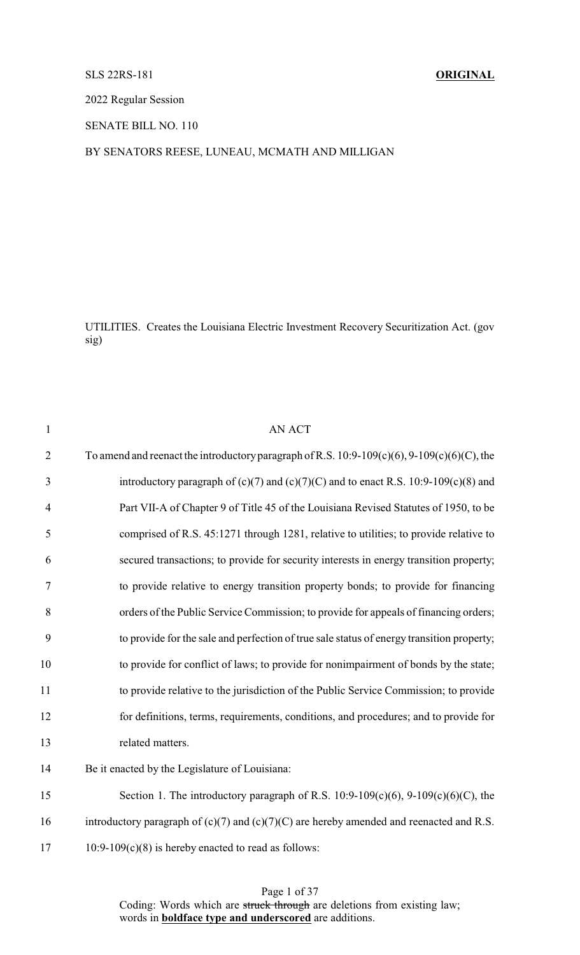# SLS 22RS-181 **ORIGINAL**

2022 Regular Session

SENATE BILL NO. 110

# BY SENATORS REESE, LUNEAU, MCMATH AND MILLIGAN

UTILITIES. Creates the Louisiana Electric Investment Recovery Securitization Act. (gov sig)

| $\mathbf{1}$   | <b>AN ACT</b>                                                                                     |
|----------------|---------------------------------------------------------------------------------------------------|
| $\overline{2}$ | To amend and reenact the introductory paragraph of R.S. $10:9-109(c)(6)$ , $9-109(c)(6)(C)$ , the |
| 3              | introductory paragraph of $(c)(7)$ and $(c)(7)(C)$ and to enact R.S. 10:9-109 $(c)(8)$ and        |
| $\overline{4}$ | Part VII-A of Chapter 9 of Title 45 of the Louisiana Revised Statutes of 1950, to be              |
| 5              | comprised of R.S. 45:1271 through 1281, relative to utilities; to provide relative to             |
| 6              | secured transactions; to provide for security interests in energy transition property;            |
| 7              | to provide relative to energy transition property bonds; to provide for financing                 |
| 8              | orders of the Public Service Commission; to provide for appeals of financing orders;              |
| 9              | to provide for the sale and perfection of true sale status of energy transition property;         |
| 10             | to provide for conflict of laws; to provide for nonimpairment of bonds by the state;              |
| 11             | to provide relative to the jurisdiction of the Public Service Commission; to provide              |
| 12             | for definitions, terms, requirements, conditions, and procedures; and to provide for              |
| 13             | related matters.                                                                                  |
| 14             | Be it enacted by the Legislature of Louisiana:                                                    |
| 15             | Section 1. The introductory paragraph of R.S. $10:9-109(c)(6)$ , $9-109(c)(6)(C)$ , the           |
| 16             | introductory paragraph of $(c)(7)$ and $(c)(7)(C)$ are hereby amended and reenacted and R.S.      |
| 17             | $10:9-109(c)(8)$ is hereby enacted to read as follows:                                            |

Page 1 of 37 Coding: Words which are struck through are deletions from existing law; words in **boldface type and underscored** are additions.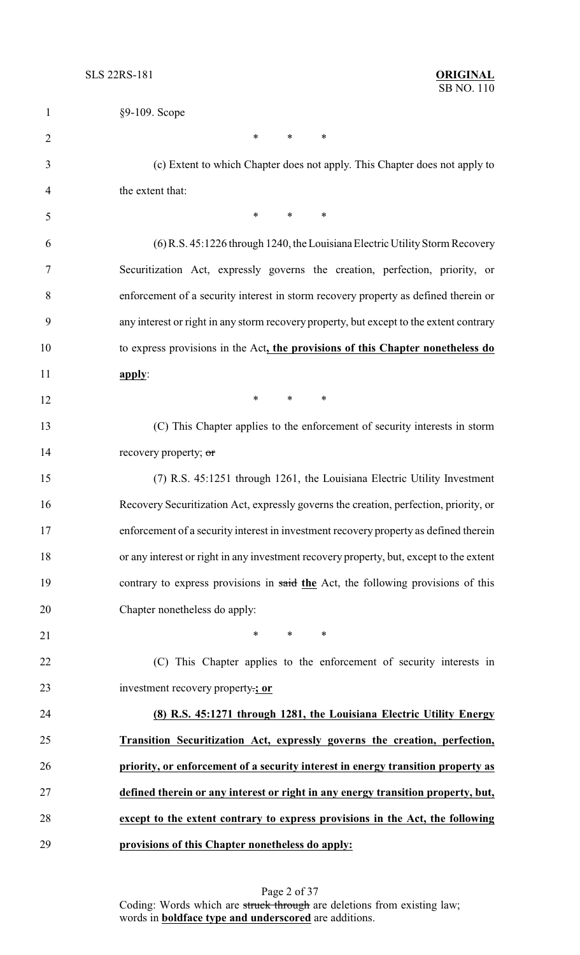| 1              | §9-109. Scope                                                                           |
|----------------|-----------------------------------------------------------------------------------------|
| $\overline{2}$ | $\ast$<br>$\ast$<br>∗                                                                   |
| 3              | (c) Extent to which Chapter does not apply. This Chapter does not apply to              |
| 4              | the extent that:                                                                        |
| 5              | *<br>$\ast$<br>$\ast$                                                                   |
| 6              | (6) R.S. 45:1226 through 1240, the Louisiana Electric Utility Storm Recovery            |
| 7              | Securitization Act, expressly governs the creation, perfection, priority, or            |
| 8              | enforcement of a security interest in storm recovery property as defined therein or     |
| 9              | any interest or right in any storm recovery property, but except to the extent contrary |
| 10             | to express provisions in the Act, the provisions of this Chapter nonetheless do         |
| 11             | apply:                                                                                  |
| 12             | *<br>$\ast$<br>∗                                                                        |
| 13             | (C) This Chapter applies to the enforcement of security interests in storm              |
| 14             | recovery property; or                                                                   |
| 15             | (7) R.S. 45:1251 through 1261, the Louisiana Electric Utility Investment                |
| 16             | Recovery Securitization Act, expressly governs the creation, perfection, priority, or   |
| 17             | enforcement of a security interest in investment recovery property as defined therein   |
| 18             | or any interest or right in any investment recovery property, but, except to the extent |
| 19             | contrary to express provisions in said the Act, the following provisions of this        |
| 20             | Chapter nonetheless do apply:                                                           |
| 21             | *<br>$\ast$<br>$\ast$                                                                   |
| 22             | (C) This Chapter applies to the enforcement of security interests in                    |
| 23             | investment recovery property:; or                                                       |
| 24             | (8) R.S. 45:1271 through 1281, the Louisiana Electric Utility Energy                    |
| 25             | Transition Securitization Act, expressly governs the creation, perfection,              |
| 26             | priority, or enforcement of a security interest in energy transition property as        |
| 27             | defined therein or any interest or right in any energy transition property, but,        |
| 28             | except to the extent contrary to express provisions in the Act, the following           |
| 29             | provisions of this Chapter nonetheless do apply:                                        |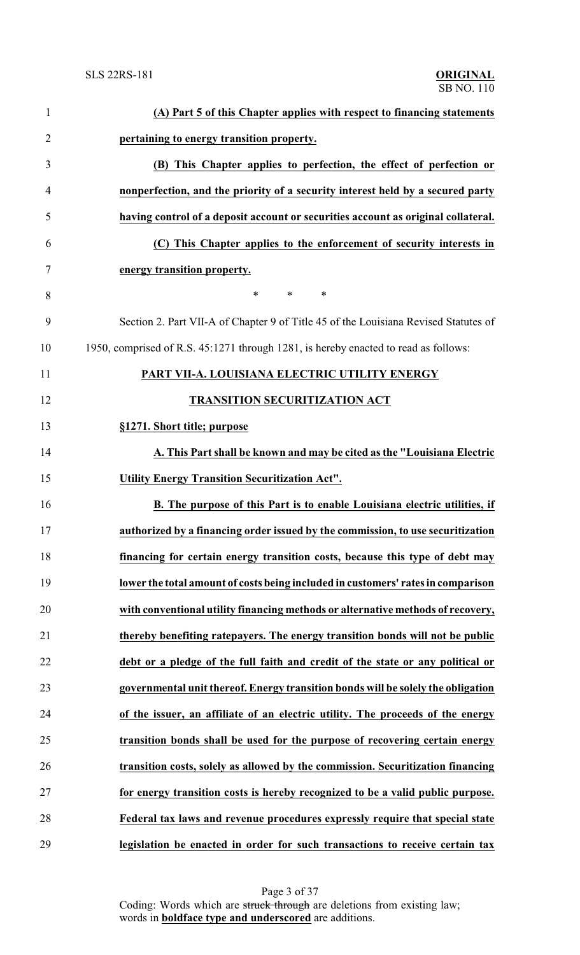| $\mathbf{1}$   | (A) Part 5 of this Chapter applies with respect to financing statements             |
|----------------|-------------------------------------------------------------------------------------|
| $\overline{2}$ | pertaining to energy transition property.                                           |
| 3              | (B) This Chapter applies to perfection, the effect of perfection or                 |
| $\overline{4}$ | nonperfection, and the priority of a security interest held by a secured party      |
| 5              | having control of a deposit account or securities account as original collateral.   |
| 6              | (C) This Chapter applies to the enforcement of security interests in                |
| $\tau$         | energy transition property.                                                         |
| 8              | $\ast$<br>$\ast$<br>∗                                                               |
| 9              | Section 2. Part VII-A of Chapter 9 of Title 45 of the Louisiana Revised Statutes of |
| 10             | 1950, comprised of R.S. 45:1271 through 1281, is hereby enacted to read as follows: |
| 11             | PART VII-A. LOUISIANA ELECTRIC UTILITY ENERGY                                       |
| 12             | <b>TRANSITION SECURITIZATION ACT</b>                                                |
| 13             | §1271. Short title; purpose                                                         |
| 14             | A. This Part shall be known and may be cited as the "Louisiana Electric             |
| 15             | <b>Utility Energy Transition Securitization Act".</b>                               |
| 16             | B. The purpose of this Part is to enable Louisiana electric utilities, if           |
| 17             | authorized by a financing order issued by the commission, to use securitization     |
| 18             | financing for certain energy transition costs, because this type of debt may        |
| 19             | lower the total amount of costs being included in customers' rates in comparison    |
| 20             | with conventional utility financing methods or alternative methods of recovery,     |
| 21             | thereby benefiting ratepayers. The energy transition bonds will not be public       |
| 22             | debt or a pledge of the full faith and credit of the state or any political or      |
| 23             | governmental unit thereof. Energy transition bonds will be solely the obligation    |
| 24             | of the issuer, an affiliate of an electric utility. The proceeds of the energy      |
| 25             | transition bonds shall be used for the purpose of recovering certain energy         |
| 26             | transition costs, solely as allowed by the commission. Securitization financing     |
| 27             | for energy transition costs is hereby recognized to be a valid public purpose.      |
| 28             | Federal tax laws and revenue procedures expressly require that special state        |
| 29             | legislation be enacted in order for such transactions to receive certain tax        |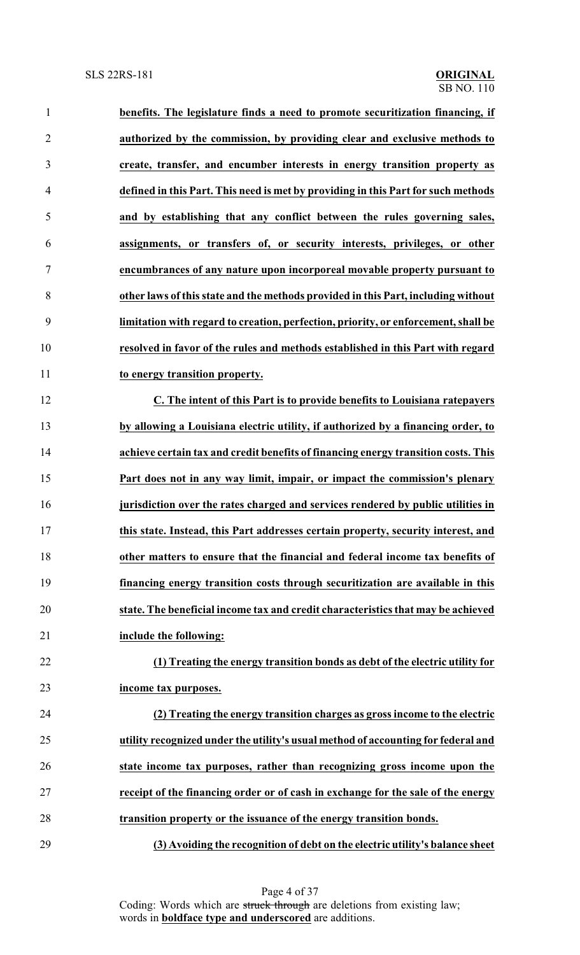| $\mathbf{1}$   | benefits. The legislature finds a need to promote securitization financing, if     |
|----------------|------------------------------------------------------------------------------------|
| $\overline{2}$ | authorized by the commission, by providing clear and exclusive methods to          |
| 3              | create, transfer, and encumber interests in energy transition property as          |
| $\overline{4}$ | defined in this Part. This need is met by providing in this Part for such methods  |
| 5              | and by establishing that any conflict between the rules governing sales,           |
| 6              | assignments, or transfers of, or security interests, privileges, or other          |
| $\tau$         | encumbrances of any nature upon incorporeal movable property pursuant to           |
| $8\,$          | other laws of this state and the methods provided in this Part, including without  |
| 9              | limitation with regard to creation, perfection, priority, or enforcement, shall be |
| 10             | resolved in favor of the rules and methods established in this Part with regard    |
| 11             | to energy transition property.                                                     |
| 12             | C. The intent of this Part is to provide benefits to Louisiana ratepayers          |
| 13             | by allowing a Louisiana electric utility, if authorized by a financing order, to   |
| 14             | achieve certain tax and credit benefits of financing energy transition costs. This |
| 15             | Part does not in any way limit, impair, or impact the commission's plenary         |
| 16             | jurisdiction over the rates charged and services rendered by public utilities in   |
| 17             | this state. Instead, this Part addresses certain property, security interest, and  |
| 18             | other matters to ensure that the financial and federal income tax benefits of      |
| 19             | financing energy transition costs through securitization are available in this     |
| 20             | state. The beneficial income tax and credit characteristics that may be achieved   |
| 21             | include the following:                                                             |
| 22             | (1) Treating the energy transition bonds as debt of the electric utility for       |
| 23             | income tax purposes.                                                               |
| 24             | (2) Treating the energy transition charges as gross income to the electric         |
| 25             | utility recognized under the utility's usual method of accounting for federal and  |
| 26             | state income tax purposes, rather than recognizing gross income upon the           |
| 27             | receipt of the financing order or of cash in exchange for the sale of the energy   |
| 28             | transition property or the issuance of the energy transition bonds.                |
| 29             | (3) Avoiding the recognition of debt on the electric utility's balance sheet       |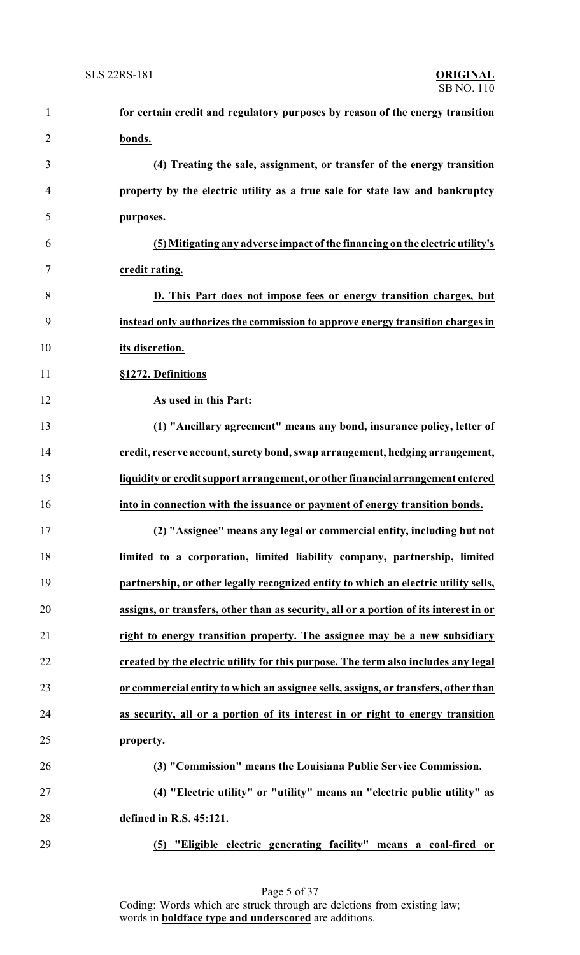| $\mathbf{1}$   | for certain credit and regulatory purposes by reason of the energy transition         |
|----------------|---------------------------------------------------------------------------------------|
| $\overline{2}$ | bonds.                                                                                |
| 3              | (4) Treating the sale, assignment, or transfer of the energy transition               |
| $\overline{4}$ | property by the electric utility as a true sale for state law and bankruptcy          |
| 5              | purposes.                                                                             |
| 6              | (5) Mitigating any adverse impact of the financing on the electric utility's          |
| 7              | credit rating.                                                                        |
| 8              | D. This Part does not impose fees or energy transition charges, but                   |
| 9              | instead only authorizes the commission to approve energy transition charges in        |
| 10             | its discretion.                                                                       |
| 11             | §1272. Definitions                                                                    |
| 12             | As used in this Part:                                                                 |
| 13             | (1) "Ancillary agreement" means any bond, insurance policy, letter of                 |
| 14             | credit, reserve account, surety bond, swap arrangement, hedging arrangement,          |
| 15             | liquidity or credit support arrangement, or other financial arrangement entered       |
| 16             | into in connection with the issuance or payment of energy transition bonds.           |
| 17             | (2) "Assignee" means any legal or commercial entity, including but not                |
| 18             | limited to a corporation, limited liability company, partnership, limited             |
| 19             | partnership, or other legally recognized entity to which an electric utility sells,   |
| 20             | assigns, or transfers, other than as security, all or a portion of its interest in or |
| 21             | right to energy transition property. The assignee may be a new subsidiary             |
| 22             | created by the electric utility for this purpose. The term also includes any legal    |
| 23             | or commercial entity to which an assignee sells, assigns, or transfers, other than    |
| 24             | as security, all or a portion of its interest in or right to energy transition        |
| 25             | property.                                                                             |
| 26             | (3) "Commission" means the Louisiana Public Service Commission.                       |
| 27             | (4) "Electric utility" or "utility" means an "electric public utility" as             |
| 28             | defined in R.S. 45:121.                                                               |
| 29             | "Eligible electric generating facility" means a coal-fired or<br>(5)                  |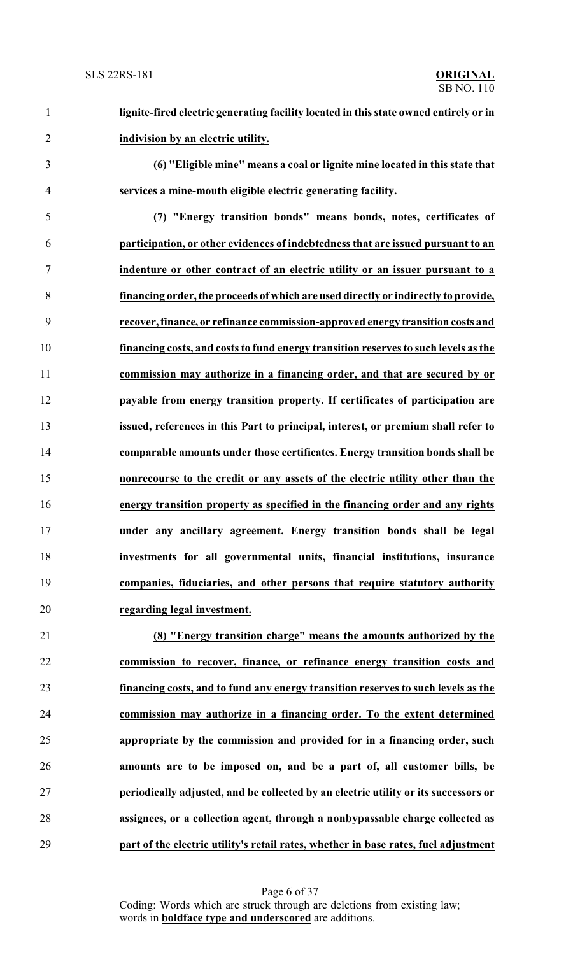| $\mathbf{1}$   | lignite-fired electric generating facility located in this state owned entirely or in |
|----------------|---------------------------------------------------------------------------------------|
| $\overline{2}$ | indivision by an electric utility.                                                    |
| 3              | (6) "Eligible mine" means a coal or lignite mine located in this state that           |
| $\overline{4}$ | services a mine-mouth eligible electric generating facility.                          |
| 5              | (7) "Energy transition bonds" means bonds, notes, certificates of                     |
| 6              | participation, or other evidences of indebtedness that are issued pursuant to an      |
| $\tau$         | indenture or other contract of an electric utility or an issuer pursuant to a         |
| 8              | financing order, the proceeds of which are used directly or indirectly to provide,    |
| 9              | recover, finance, or refinance commission-approved energy transition costs and        |
| 10             | financing costs, and costs to fund energy transition reserves to such levels as the   |
| 11             | commission may authorize in a financing order, and that are secured by or             |
| 12             | payable from energy transition property. If certificates of participation are         |
| 13             | issued, references in this Part to principal, interest, or premium shall refer to     |
| 14             | comparable amounts under those certificates. Energy transition bonds shall be         |
| 15             | nonrecourse to the credit or any assets of the electric utility other than the        |
| 16             | energy transition property as specified in the financing order and any rights         |
| 17             | under any ancillary agreement. Energy transition bonds shall be legal                 |
| 18             | investments for all governmental units, financial institutions, insurance             |
| 19             | companies, fiduciaries, and other persons that require statutory authority            |
| 20             | regarding legal investment.                                                           |
| 21             | (8) "Energy transition charge" means the amounts authorized by the                    |
| 22             | commission to recover, finance, or refinance energy transition costs and              |
| 23             | financing costs, and to fund any energy transition reserves to such levels as the     |
| 24             | commission may authorize in a financing order. To the extent determined               |
| 25             | appropriate by the commission and provided for in a financing order, such             |
| 26             | amounts are to be imposed on, and be a part of, all customer bills, be                |
| 27             | periodically adjusted, and be collected by an electric utility or its successors or   |
| 28             | assignees, or a collection agent, through a nonbypassable charge collected as         |

**part of the electric utility's retail rates, whether in base rates, fuel adjustment**

Page 6 of 37 Coding: Words which are struck through are deletions from existing law; words in **boldface type and underscored** are additions.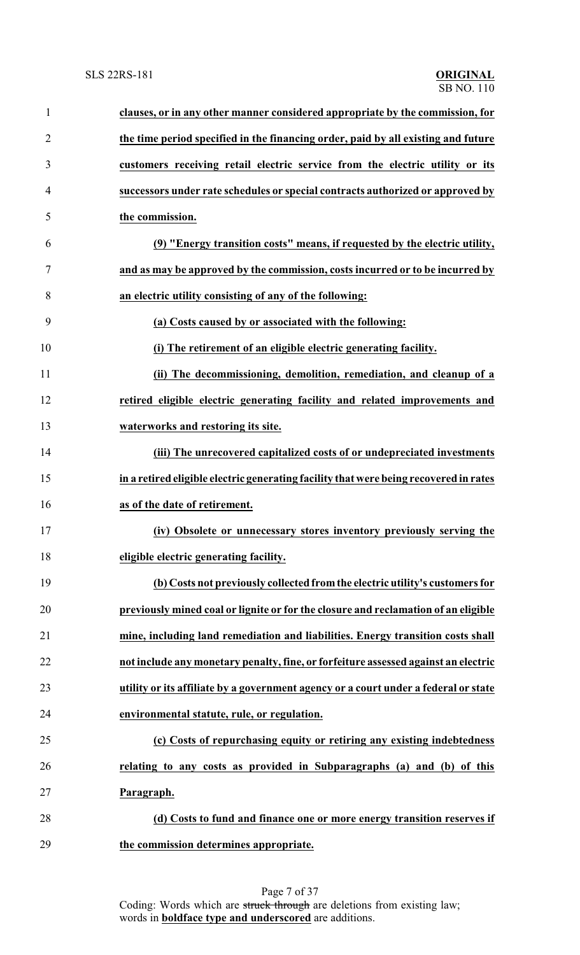| $\mathbf{1}$   | clauses, or in any other manner considered appropriate by the commission, for         |
|----------------|---------------------------------------------------------------------------------------|
| $\overline{2}$ | the time period specified in the financing order, paid by all existing and future     |
| 3              | customers receiving retail electric service from the electric utility or its          |
| $\overline{4}$ | successors under rate schedules or special contracts authorized or approved by        |
| 5              | the commission.                                                                       |
| 6              | (9) "Energy transition costs" means, if requested by the electric utility,            |
| 7              | and as may be approved by the commission, costs incurred or to be incurred by         |
| 8              | an electric utility consisting of any of the following:                               |
| 9              | (a) Costs caused by or associated with the following:                                 |
| 10             | (i) The retirement of an eligible electric generating facility.                       |
| 11             | (ii) The decommissioning, demolition, remediation, and cleanup of a                   |
| 12             | retired eligible electric generating facility and related improvements and            |
| 13             | waterworks and restoring its site.                                                    |
| 14             | (iii) The unrecovered capitalized costs of or undepreciated investments               |
| 15             | in a retired eligible electric generating facility that were being recovered in rates |
| 16             | as of the date of retirement.                                                         |
| 17             | (iv) Obsolete or unnecessary stores inventory previously serving the                  |
| 18             | eligible electric generating facility.                                                |
| 19             | (b) Costs not previously collected from the electric utility's customers for          |
| 20             | previously mined coal or lignite or for the closure and reclamation of an eligible    |
| 21             | mine, including land remediation and liabilities. Energy transition costs shall       |
| 22             | not include any monetary penalty, fine, or forfeiture assessed against an electric    |
| 23             | utility or its affiliate by a government agency or a court under a federal or state   |
| 24             | environmental statute, rule, or regulation.                                           |
| 25             | (c) Costs of repurchasing equity or retiring any existing indebtedness                |
| 26             | relating to any costs as provided in Subparagraphs (a) and (b) of this                |
| 27             | Paragraph.                                                                            |
| 28             | (d) Costs to fund and finance one or more energy transition reserves if               |
| 29             | the commission determines appropriate.                                                |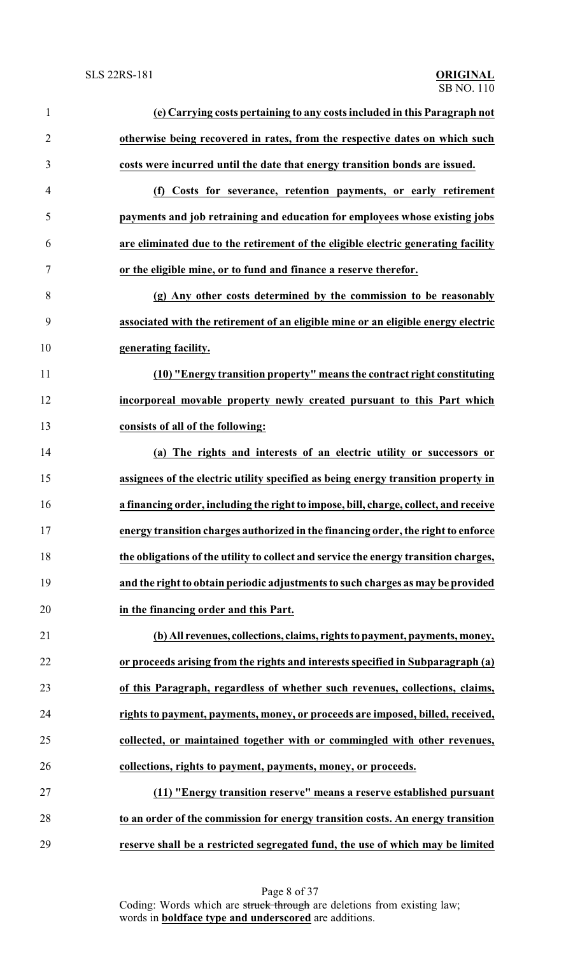| $\mathbf{1}$   | (e) Carrying costs pertaining to any costs included in this Paragraph not            |
|----------------|--------------------------------------------------------------------------------------|
| $\overline{2}$ | otherwise being recovered in rates, from the respective dates on which such          |
| 3              | costs were incurred until the date that energy transition bonds are issued.          |
| $\overline{4}$ | (f) Costs for severance, retention payments, or early retirement                     |
| 5              | payments and job retraining and education for employees whose existing jobs          |
| 6              | are eliminated due to the retirement of the eligible electric generating facility    |
| $\tau$         | or the eligible mine, or to fund and finance a reserve therefor.                     |
| $8\,$          | (g) Any other costs determined by the commission to be reasonably                    |
| 9              | associated with the retirement of an eligible mine or an eligible energy electric    |
| 10             | generating facility.                                                                 |
| 11             | (10) "Energy transition property" means the contract right constituting              |
| 12             | incorporeal movable property newly created pursuant to this Part which               |
| 13             | consists of all of the following:                                                    |
| 14             | (a) The rights and interests of an electric utility or successors or                 |
| 15             | assignees of the electric utility specified as being energy transition property in   |
| 16             | a financing order, including the right to impose, bill, charge, collect, and receive |
| 17             | energy transition charges authorized in the financing order, the right to enforce    |
| 18             | the obligations of the utility to collect and service the energy transition charges, |
| 19             | and the right to obtain periodic adjustments to such charges as may be provided      |
| 20             | in the financing order and this Part.                                                |
| 21             | (b) All revenues, collections, claims, rights to payment, payments, money,           |
| 22             | or proceeds arising from the rights and interests specified in Subparagraph (a)      |
| 23             | of this Paragraph, regardless of whether such revenues, collections, claims,         |
| 24             | rights to payment, payments, money, or proceeds are imposed, billed, received,       |
| 25             | collected, or maintained together with or commingled with other revenues,            |
| 26             | collections, rights to payment, payments, money, or proceeds.                        |
| 27             | (11) "Energy transition reserve" means a reserve established pursuant                |
| 28             | to an order of the commission for energy transition costs. An energy transition      |
| 29             | reserve shall be a restricted segregated fund, the use of which may be limited       |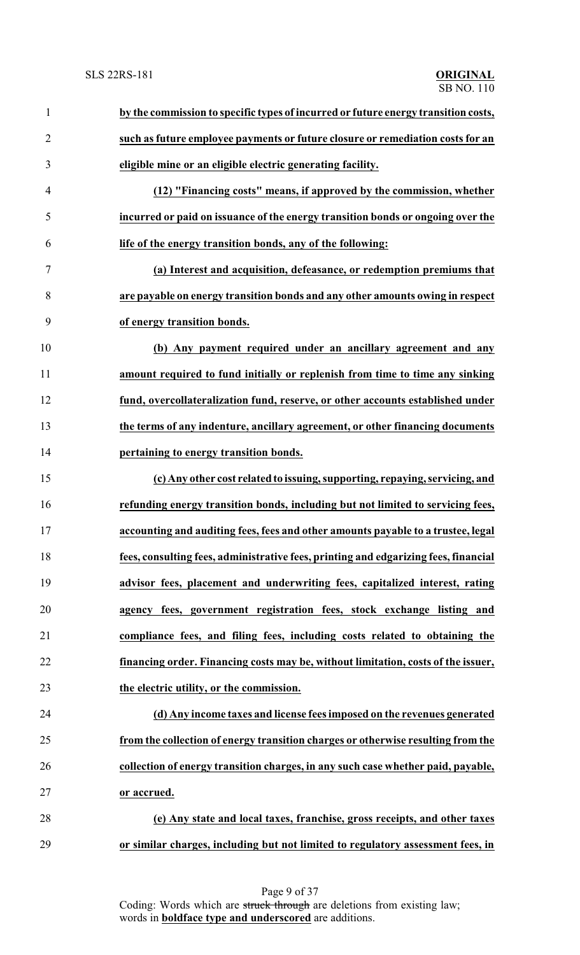| $\mathbf{1}$   | by the commission to specific types of incurred or future energy transition costs,  |
|----------------|-------------------------------------------------------------------------------------|
| $\overline{2}$ | such as future employee payments or future closure or remediation costs for an      |
| 3              | eligible mine or an eligible electric generating facility.                          |
| $\overline{4}$ | (12) "Financing costs" means, if approved by the commission, whether                |
| 5              | incurred or paid on issuance of the energy transition bonds or ongoing over the     |
| 6              | life of the energy transition bonds, any of the following:                          |
| 7              | (a) Interest and acquisition, defeasance, or redemption premiums that               |
| 8              | are payable on energy transition bonds and any other amounts owing in respect       |
| 9              | of energy transition bonds.                                                         |
| 10             | (b) Any payment required under an ancillary agreement and any                       |
| 11             | amount required to fund initially or replenish from time to time any sinking        |
| 12             | fund, overcollateralization fund, reserve, or other accounts established under      |
| 13             | the terms of any indenture, ancillary agreement, or other financing documents       |
| 14             | pertaining to energy transition bonds.                                              |
| 15             | (c) Any other cost related to issuing, supporting, repaying, servicing, and         |
| 16             | refunding energy transition bonds, including but not limited to servicing fees,     |
| 17             | accounting and auditing fees, fees and other amounts payable to a trustee, legal    |
| 18             | fees, consulting fees, administrative fees, printing and edgarizing fees, financial |
| 19             | advisor fees, placement and underwriting fees, capitalized interest, rating         |
| 20             | agency fees, government registration fees, stock exchange listing and               |
| 21             | compliance fees, and filing fees, including costs related to obtaining the          |
| 22             | financing order. Financing costs may be, without limitation, costs of the issuer,   |
| 23             | the electric utility, or the commission.                                            |
| 24             | (d) Any income taxes and license fees imposed on the revenues generated             |
| 25             | from the collection of energy transition charges or otherwise resulting from the    |
| 26             | collection of energy transition charges, in any such case whether paid, payable,    |
| 27             | or accrued.                                                                         |
| 28             | (e) Any state and local taxes, franchise, gross receipts, and other taxes           |
| 29             | or similar charges, including but not limited to regulatory assessment fees, in     |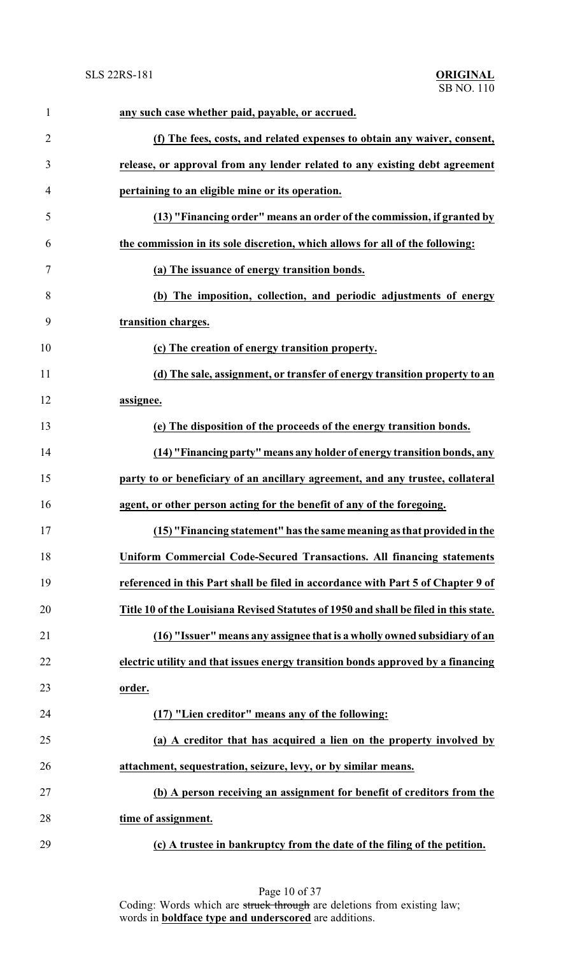| $\mathbf{1}$   | any such case whether paid, payable, or accrued.                                     |
|----------------|--------------------------------------------------------------------------------------|
| $\overline{2}$ | (f) The fees, costs, and related expenses to obtain any waiver, consent,             |
| 3              | release, or approval from any lender related to any existing debt agreement          |
| 4              | pertaining to an eligible mine or its operation.                                     |
| 5              | (13) "Financing order" means an order of the commission, if granted by               |
| 6              | the commission in its sole discretion, which allows for all of the following:        |
| 7              | (a) The issuance of energy transition bonds.                                         |
| 8              | (b) The imposition, collection, and periodic adjustments of energy                   |
| 9              | transition charges.                                                                  |
| 10             | (c) The creation of energy transition property.                                      |
| 11             | (d) The sale, assignment, or transfer of energy transition property to an            |
| 12             | assignee.                                                                            |
| 13             | (e) The disposition of the proceeds of the energy transition bonds.                  |
| 14             | (14) "Financing party" means any holder of energy transition bonds, any              |
| 15             | party to or beneficiary of an ancillary agreement, and any trustee, collateral       |
| 16             | agent, or other person acting for the benefit of any of the foregoing.               |
| 17             | (15) "Financing statement" has the same meaning as that provided in the              |
| 18             | <b>Uniform Commercial Code-Secured Transactions. All financing statements</b>        |
| 19             | referenced in this Part shall be filed in accordance with Part 5 of Chapter 9 of     |
| 20             | Title 10 of the Louisiana Revised Statutes of 1950 and shall be filed in this state. |
| 21             | (16) "Issuer" means any assignee that is a wholly owned subsidiary of an             |
| 22             | electric utility and that issues energy transition bonds approved by a financing     |
| 23             | order.                                                                               |
| 24             | (17) "Lien creditor" means any of the following:                                     |
| 25             | (a) A creditor that has acquired a lien on the property involved by                  |
| 26             | attachment, sequestration, seizure, levy, or by similar means.                       |
| 27             | (b) A person receiving an assignment for benefit of creditors from the               |
| 28             | time of assignment.                                                                  |
| 29             | (c) A trustee in bankruptcy from the date of the filing of the petition.             |

Page 10 of 37 Coding: Words which are struck through are deletions from existing law; words in **boldface type and underscored** are additions.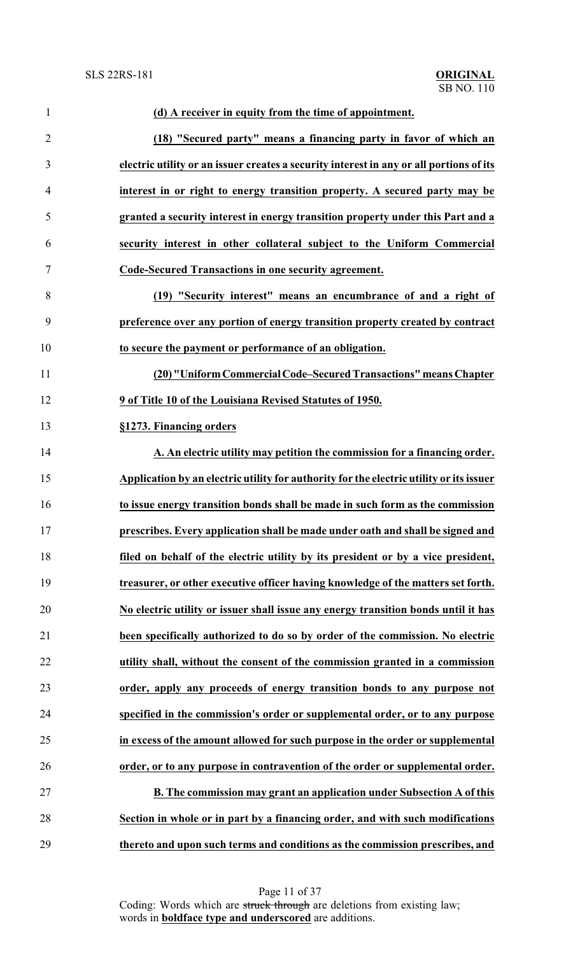| $\mathbf{1}$   | (d) A receiver in equity from the time of appointment.                                  |
|----------------|-----------------------------------------------------------------------------------------|
| $\overline{2}$ | (18) "Secured party" means a financing party in favor of which an                       |
| 3              | electric utility or an issuer creates a security interest in any or all portions of its |
| $\overline{4}$ | interest in or right to energy transition property. A secured party may be              |
| 5              | granted a security interest in energy transition property under this Part and a         |
| 6              | security interest in other collateral subject to the Uniform Commercial                 |
| 7              | Code-Secured Transactions in one security agreement.                                    |
| 8              | (19) "Security interest" means an encumbrance of and a right of                         |
| 9              | preference over any portion of energy transition property created by contract           |
| 10             | to secure the payment or performance of an obligation.                                  |
| 11             | (20) "Uniform Commercial Code-Secured Transactions" means Chapter                       |
| 12             | 9 of Title 10 of the Louisiana Revised Statutes of 1950.                                |
| 13             | §1273. Financing orders                                                                 |
| 14             | A. An electric utility may petition the commission for a financing order.               |
| 15             | Application by an electric utility for authority for the electric utility or its issuer |
| 16             | to issue energy transition bonds shall be made in such form as the commission           |
| 17             | prescribes. Every application shall be made under oath and shall be signed and          |
| 18             | filed on behalf of the electric utility by its president or by a vice president,        |
| 19             | treasurer, or other executive officer having knowledge of the matters set forth.        |
| 20             | No electric utility or issuer shall issue any energy transition bonds until it has      |
| 21             | been specifically authorized to do so by order of the commission. No electric           |
| 22             | utility shall, without the consent of the commission granted in a commission            |
| 23             | order, apply any proceeds of energy transition bonds to any purpose not                 |
| 24             | specified in the commission's order or supplemental order, or to any purpose            |
| 25             | in excess of the amount allowed for such purpose in the order or supplemental           |
| 26             | order, or to any purpose in contravention of the order or supplemental order.           |
| 27             | B. The commission may grant an application under Subsection A of this                   |
| 28             | Section in whole or in part by a financing order, and with such modifications           |
| 29             | thereto and upon such terms and conditions as the commission prescribes, and            |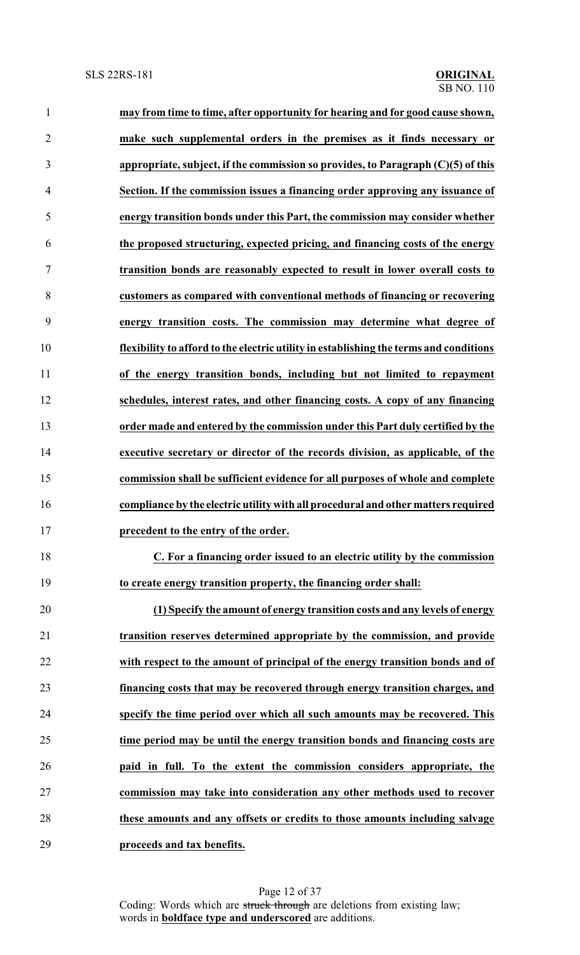| $\mathbf{1}$   | may from time to time, after opportunity for hearing and for good cause shown,         |
|----------------|----------------------------------------------------------------------------------------|
| $\overline{2}$ | make such supplemental orders in the premises as it finds necessary or                 |
| 3              | appropriate, subject, if the commission so provides, to Paragraph (C)(5) of this       |
| 4              | Section. If the commission issues a financing order approving any issuance of          |
| 5              | energy transition bonds under this Part, the commission may consider whether           |
| 6              | the proposed structuring, expected pricing, and financing costs of the energy          |
| 7              | transition bonds are reasonably expected to result in lower overall costs to           |
| 8              | customers as compared with conventional methods of financing or recovering             |
| 9              | energy transition costs. The commission may determine what degree of                   |
| 10             | flexibility to afford to the electric utility in establishing the terms and conditions |
| 11             | of the energy transition bonds, including but not limited to repayment                 |
| 12             | schedules, interest rates, and other financing costs. A copy of any financing          |
| 13             | order made and entered by the commission under this Part duly certified by the         |
| 14             | executive secretary or director of the records division, as applicable, of the         |
| 15             | commission shall be sufficient evidence for all purposes of whole and complete         |
| 16             | compliance by the electric utility with all procedural and other matters required      |
| 17             | precedent to the entry of the order.                                                   |
| 18             | C. For a financing order issued to an electric utility by the commission               |
| 19             | to create energy transition property, the financing order shall:                       |
| 20             | (1) Specify the amount of energy transition costs and any levels of energy             |
| 21             | transition reserves determined appropriate by the commission, and provide              |
| 22             | with respect to the amount of principal of the energy transition bonds and of          |
| 23             | financing costs that may be recovered through energy transition charges, and           |
| 24             | specify the time period over which all such amounts may be recovered. This             |
| 25             | time period may be until the energy transition bonds and financing costs are           |
| 26             | paid in full. To the extent the commission considers appropriate, the                  |
| 27             | commission may take into consideration any other methods used to recover               |
| 28             | these amounts and any offsets or credits to those amounts including salvage            |
| 29             | proceeds and tax benefits.                                                             |

Page 12 of 37 Coding: Words which are struck through are deletions from existing law; words in **boldface type and underscored** are additions.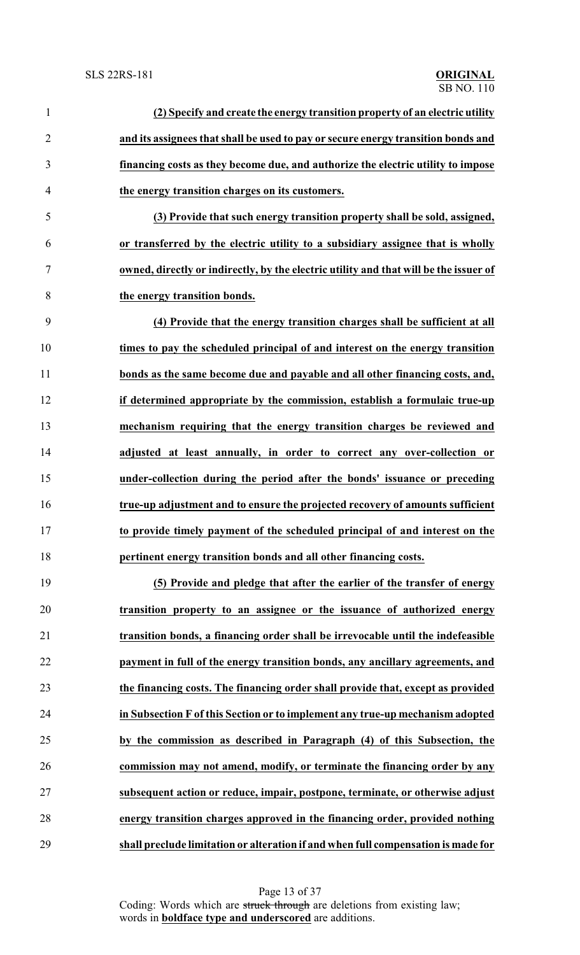| $\mathbf{1}$   | (2) Specify and create the energy transition property of an electric utility          |
|----------------|---------------------------------------------------------------------------------------|
| $\overline{2}$ | and its assignees that shall be used to pay or secure energy transition bonds and     |
| 3              | financing costs as they become due, and authorize the electric utility to impose      |
| $\overline{4}$ | the energy transition charges on its customers.                                       |
| 5              | (3) Provide that such energy transition property shall be sold, assigned,             |
| 6              | or transferred by the electric utility to a subsidiary assignee that is wholly        |
| 7              | owned, directly or indirectly, by the electric utility and that will be the issuer of |
| 8              | the energy transition bonds.                                                          |
| 9              | (4) Provide that the energy transition charges shall be sufficient at all             |
| 10             | times to pay the scheduled principal of and interest on the energy transition         |
| 11             | bonds as the same become due and payable and all other financing costs, and,          |
| 12             | if determined appropriate by the commission, establish a formulaic true-up            |
| 13             | mechanism requiring that the energy transition charges be reviewed and                |
| 14             | adjusted at least annually, in order to correct any over-collection or                |
| 15             | under-collection during the period after the bonds' issuance or preceding             |
| 16             | true-up adjustment and to ensure the projected recovery of amounts sufficient         |
| 17             | to provide timely payment of the scheduled principal of and interest on the           |
| 18             | pertinent energy transition bonds and all other financing costs.                      |
| 19             | (5) Provide and pledge that after the earlier of the transfer of energy               |
| 20             | transition property to an assignee or the issuance of authorized energy               |
| 21             | transition bonds, a financing order shall be irrevocable until the indefeasible       |
| 22             | payment in full of the energy transition bonds, any ancillary agreements, and         |
| 23             | the financing costs. The financing order shall provide that, except as provided       |
| 24             | in Subsection F of this Section or to implement any true-up mechanism adopted         |
| 25             | by the commission as described in Paragraph (4) of this Subsection, the               |
| 26             | commission may not amend, modify, or terminate the financing order by any             |
| 27             | subsequent action or reduce, impair, postpone, terminate, or otherwise adjust         |
| 28             | energy transition charges approved in the financing order, provided nothing           |
|                |                                                                                       |

**shall preclude limitation or alteration if and when full compensation is made for**

Page 13 of 37 Coding: Words which are struck through are deletions from existing law; words in **boldface type and underscored** are additions.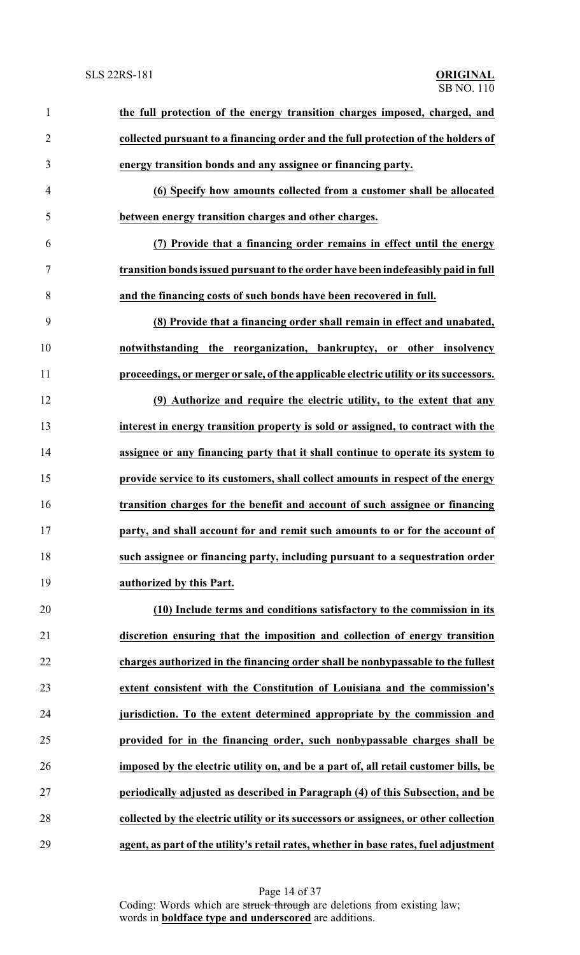| $\mathbf{1}$   | the full protection of the energy transition charges imposed, charged, and            |
|----------------|---------------------------------------------------------------------------------------|
| $\overline{2}$ | collected pursuant to a financing order and the full protection of the holders of     |
| 3              | energy transition bonds and any assignee or financing party.                          |
| $\overline{4}$ | (6) Specify how amounts collected from a customer shall be allocated                  |
| 5              | between energy transition charges and other charges.                                  |
| 6              | (7) Provide that a financing order remains in effect until the energy                 |
| $\tau$         | transition bonds issued pursuant to the order have been indefeasibly paid in full     |
| 8              | and the financing costs of such bonds have been recovered in full.                    |
| 9              | (8) Provide that a financing order shall remain in effect and unabated,               |
| 10             | notwithstanding the reorganization, bankruptcy, or other insolvency                   |
| 11             | proceedings, or merger or sale, of the applicable electric utility or its successors. |
| 12             | (9) Authorize and require the electric utility, to the extent that any                |
| 13             | interest in energy transition property is sold or assigned, to contract with the      |
| 14             | assignee or any financing party that it shall continue to operate its system to       |
| 15             | provide service to its customers, shall collect amounts in respect of the energy      |
| 16             | transition charges for the benefit and account of such assignee or financing          |
| 17             | party, and shall account for and remit such amounts to or for the account of          |
| 18             | such assignee or financing party, including pursuant to a sequestration order         |
| 19             | authorized by this Part.                                                              |
| 20             | (10) Include terms and conditions satisfactory to the commission in its               |
| 21             | discretion ensuring that the imposition and collection of energy transition           |
| 22             | charges authorized in the financing order shall be nonbypassable to the fullest       |
| 23             | extent consistent with the Constitution of Louisiana and the commission's             |
| 24             | jurisdiction. To the extent determined appropriate by the commission and              |
| 25             | provided for in the financing order, such nonbypassable charges shall be              |
| 26             | imposed by the electric utility on, and be a part of, all retail customer bills, be   |
| 27             | periodically adjusted as described in Paragraph (4) of this Subsection, and be        |
| 28             | collected by the electric utility or its successors or assignees, or other collection |
| 29             | agent, as part of the utility's retail rates, whether in base rates, fuel adjustment  |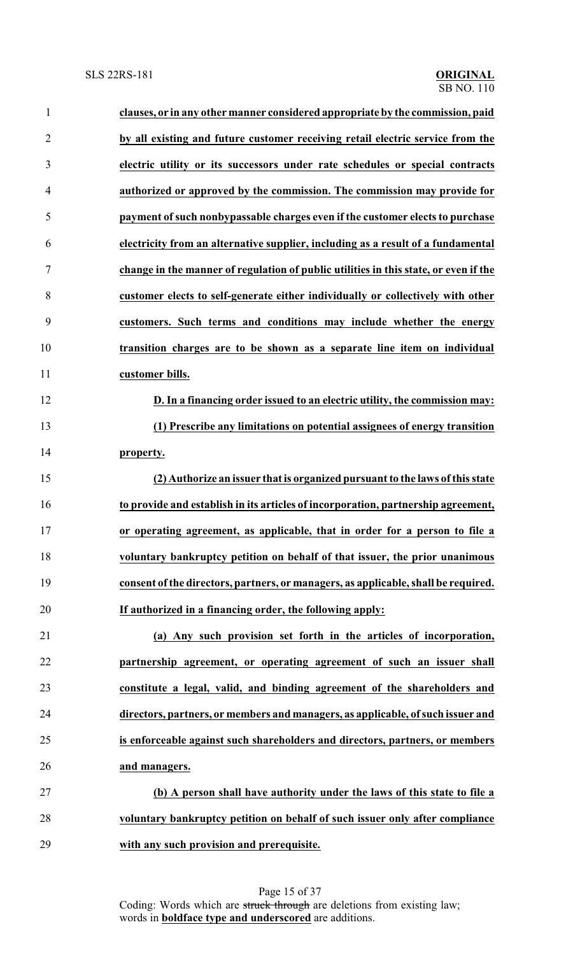| 1              | clauses, or in any other manner considered appropriate by the commission, paid       |
|----------------|--------------------------------------------------------------------------------------|
| $\overline{2}$ | by all existing and future customer receiving retail electric service from the       |
| 3              | electric utility or its successors under rate schedules or special contracts         |
| $\overline{4}$ | authorized or approved by the commission. The commission may provide for             |
| 5              | payment of such nonbypassable charges even if the customer elects to purchase        |
| 6              | electricity from an alternative supplier, including as a result of a fundamental     |
| 7              | change in the manner of regulation of public utilities in this state, or even if the |
| 8              | customer elects to self-generate either individually or collectively with other      |
| 9              | customers. Such terms and conditions may include whether the energy                  |
| 10             | transition charges are to be shown as a separate line item on individual             |
| 11             | customer bills.                                                                      |
| 12             | D. In a financing order issued to an electric utility, the commission may:           |
| 13             | (1) Prescribe any limitations on potential assignees of energy transition            |
| 14             | property.                                                                            |
| 15             | (2) Authorize an issuer that is organized pursuant to the laws of this state         |
| 16             | to provide and establish in its articles of incorporation, partnership agreement,    |
| 17             | or operating agreement, as applicable, that in order for a person to file a          |
| 18             | voluntary bankruptcy petition on behalf of that issuer, the prior unanimous          |
| 19             | consent of the directors, partners, or managers, as applicable, shall be required.   |
| 20             | If authorized in a financing order, the following apply:                             |
| 21             | (a) Any such provision set forth in the articles of incorporation,                   |
| 22             | partnership agreement, or operating agreement of such an issuer shall                |
| 23             | constitute a legal, valid, and binding agreement of the shareholders and             |
| 24             | directors, partners, or members and managers, as applicable, of such issuer and      |
| 25             | is enforceable against such shareholders and directors, partners, or members         |
| 26             | and managers.                                                                        |
| 27             | (b) A person shall have authority under the laws of this state to file a             |
| 28             | voluntary bankruptcy petition on behalf of such issuer only after compliance         |
| 29             | with any such provision and prerequisite.                                            |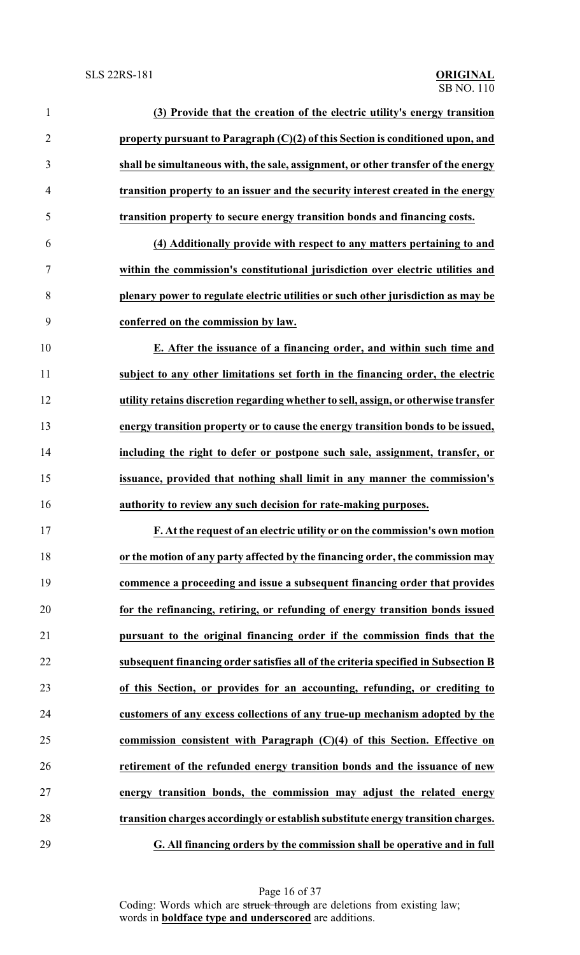| $\mathbf{1}$   | (3) Provide that the creation of the electric utility's energy transition           |
|----------------|-------------------------------------------------------------------------------------|
| $\overline{2}$ | property pursuant to Paragraph (C)(2) of this Section is conditioned upon, and      |
| 3              | shall be simultaneous with, the sale, assignment, or other transfer of the energy   |
| $\overline{4}$ | transition property to an issuer and the security interest created in the energy    |
| 5              | transition property to secure energy transition bonds and financing costs.          |
| 6              | (4) Additionally provide with respect to any matters pertaining to and              |
| 7              | within the commission's constitutional jurisdiction over electric utilities and     |
| 8              | plenary power to regulate electric utilities or such other jurisdiction as may be   |
| 9              | conferred on the commission by law.                                                 |
| 10             | E. After the issuance of a financing order, and within such time and                |
| 11             | subject to any other limitations set forth in the financing order, the electric     |
| 12             | utility retains discretion regarding whether to sell, assign, or otherwise transfer |
| 13             | energy transition property or to cause the energy transition bonds to be issued,    |
| 14             | including the right to defer or postpone such sale, assignment, transfer, or        |
| 15             | issuance, provided that nothing shall limit in any manner the commission's          |
| 16             | authority to review any such decision for rate-making purposes.                     |
| 17             | F. At the request of an electric utility or on the commission's own motion          |
| 18             | or the motion of any party affected by the financing order, the commission may      |
| 19             | commence a proceeding and issue a subsequent financing order that provides          |
| 20             | for the refinancing, retiring, or refunding of energy transition bonds issued       |
| 21             | pursuant to the original financing order if the commission finds that the           |
| 22             | subsequent financing order satisfies all of the criteria specified in Subsection B  |
| 23             | of this Section, or provides for an accounting, refunding, or crediting to          |
| 24             | customers of any excess collections of any true-up mechanism adopted by the         |
| 25             | commission consistent with Paragraph $(C)(4)$ of this Section. Effective on         |
| 26             | retirement of the refunded energy transition bonds and the issuance of new          |
| 27             | energy transition bonds, the commission may adjust the related energy               |
| 28             | transition charges accordingly or establish substitute energy transition charges.   |
| 29             | G. All financing orders by the commission shall be operative and in full            |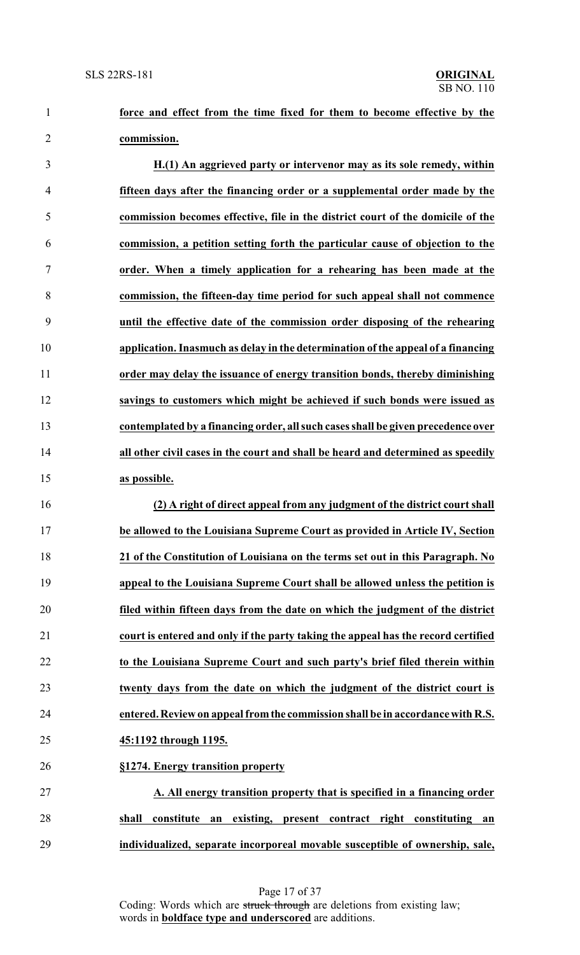**force and effect from the time fixed for them to become effective by the commission.**

 **H.(1) An aggrieved party or intervenor may as its sole remedy, within fifteen days after the financing order or a supplemental order made by the commission becomes effective, file in the district court of the domicile of the commission, a petition setting forth the particular cause of objection to the order. When a timely application for a rehearing has been made at the commission, the fifteen-day time period for such appeal shall not commence until the effective date of the commission order disposing of the rehearing application. Inasmuch as delay in the determination of the appeal of a financing order may delay the issuance of energy transition bonds, thereby diminishing savings to customers which might be achieved if such bonds were issued as contemplated by a financing order, all such cases shall be given precedence over all other civil cases in the court and shall be heard and determined as speedily as possible.**

 **(2) A right of direct appeal from any judgment of the district court shall be allowed to the Louisiana Supreme Court as provided in Article IV, Section 21 of the Constitution of Louisiana on the terms set out in this Paragraph. No appeal to the Louisiana Supreme Court shall be allowed unless the petition is filed within fifteen days from the date on which the judgment of the district court is entered and only if the party taking the appeal has the record certified to the Louisiana Supreme Court and such party's brief filed therein within twenty days from the date on which the judgment of the district court is entered. Review on appeal fromthe commission shall be in accordance with R.S. 45:1192 through 1195. §1274. Energy transition property**

 **A. All energy transition property that is specified in a financing order shall constitute an existing, present contract right constituting an individualized, separate incorporeal movable susceptible of ownership, sale,**

> Page 17 of 37 Coding: Words which are struck through are deletions from existing law; words in **boldface type and underscored** are additions.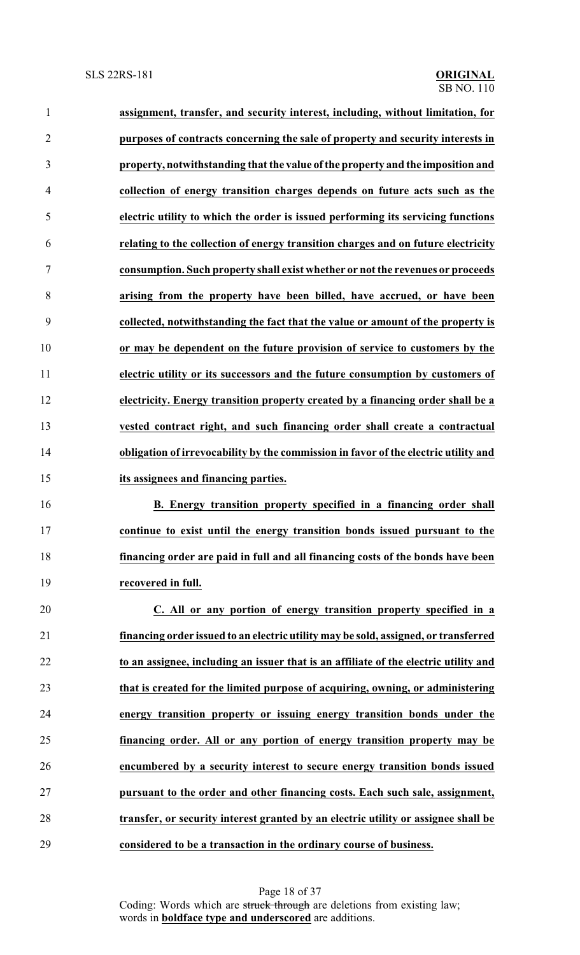| $\mathbf{1}$   | assignment, transfer, and security interest, including, without limitation, for      |
|----------------|--------------------------------------------------------------------------------------|
| $\overline{2}$ | purposes of contracts concerning the sale of property and security interests in      |
| 3              | property, notwithstanding that the value of the property and the imposition and      |
| 4              | collection of energy transition charges depends on future acts such as the           |
| 5              | electric utility to which the order is issued performing its servicing functions     |
| 6              | relating to the collection of energy transition charges and on future electricity    |
| 7              | consumption. Such property shall exist whether or not the revenues or proceeds       |
| 8              | arising from the property have been billed, have accrued, or have been               |
| 9              | collected, notwithstanding the fact that the value or amount of the property is      |
| 10             | or may be dependent on the future provision of service to customers by the           |
| 11             | electric utility or its successors and the future consumption by customers of        |
| 12             | electricity. Energy transition property created by a financing order shall be a      |
| 13             | vested contract right, and such financing order shall create a contractual           |
| 14             | obligation of irrevocability by the commission in favor of the electric utility and  |
| 15             | its assignees and financing parties.                                                 |
| 16             | B. Energy transition property specified in a financing order shall                   |
| 17             | continue to exist until the energy transition bonds issued pursuant to the           |
| 18             | financing order are paid in full and all financing costs of the bonds have been      |
| 19             | recovered in full.                                                                   |
| 20             | C. All or any portion of energy transition property specified in a                   |
| 21             | financing order issued to an electric utility may be sold, assigned, or transferred  |
| 22             | to an assignee, including an issuer that is an affiliate of the electric utility and |
| 23             | that is created for the limited purpose of acquiring, owning, or administering       |
| 24             | energy transition property or issuing energy transition bonds under the              |
| 25             | financing order. All or any portion of energy transition property may be             |
| 26             | encumbered by a security interest to secure energy transition bonds issued           |
| 27             | pursuant to the order and other financing costs. Each such sale, assignment,         |
| 28             | transfer, or security interest granted by an electric utility or assignee shall be   |
| 29             | considered to be a transaction in the ordinary course of business.                   |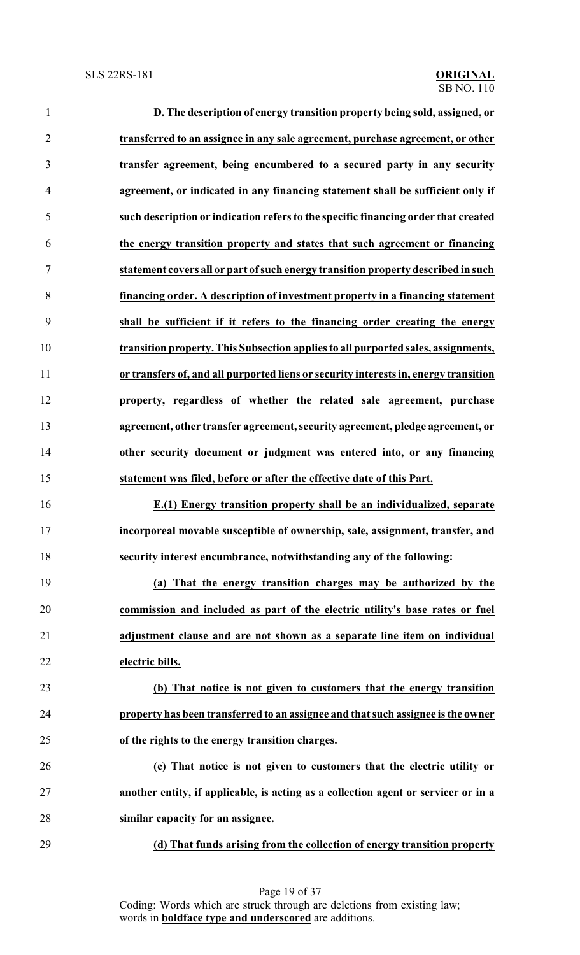| $\mathbf{1}$   | D. The description of energy transition property being sold, assigned, or            |
|----------------|--------------------------------------------------------------------------------------|
| $\overline{2}$ | transferred to an assignee in any sale agreement, purchase agreement, or other       |
| 3              | transfer agreement, being encumbered to a secured party in any security              |
| $\overline{4}$ | agreement, or indicated in any financing statement shall be sufficient only if       |
| 5              | such description or indication refers to the specific financing order that created   |
| 6              | the energy transition property and states that such agreement or financing           |
| 7              | statement covers all or part of such energy transition property described in such    |
| 8              | financing order. A description of investment property in a financing statement       |
| 9              | shall be sufficient if it refers to the financing order creating the energy          |
| 10             | transition property. This Subsection applies to all purported sales, assignments,    |
| 11             | or transfers of, and all purported liens or security interests in, energy transition |
| 12             | property, regardless of whether the related sale agreement, purchase                 |
| 13             | agreement, other transfer agreement, security agreement, pledge agreement, or        |
| 14             | other security document or judgment was entered into, or any financing               |
| 15             | statement was filed, before or after the effective date of this Part.                |
| 16             | E.(1) Energy transition property shall be an individualized, separate                |
| 17             | incorporeal movable susceptible of ownership, sale, assignment, transfer, and        |
| 18             | security interest encumbrance, notwithstanding any of the following:                 |
| 19             | (a) That the energy transition charges may be authorized by the                      |
| 20             | commission and included as part of the electric utility's base rates or fuel         |
| 21             | adjustment clause and are not shown as a separate line item on individual            |
| 22             | electric bills.                                                                      |
| 23             | (b) That notice is not given to customers that the energy transition                 |
| 24             | property has been transferred to an assignee and that such assignee is the owner     |
| 25             | of the rights to the energy transition charges.                                      |
| 26             | (c) That notice is not given to customers that the electric utility or               |
| 27             | another entity, if applicable, is acting as a collection agent or servicer or in a   |
| 28             | similar capacity for an assignee.                                                    |
| 29             | (d) That funds arising from the collection of energy transition property             |

Page 19 of 37 Coding: Words which are struck through are deletions from existing law; words in **boldface type and underscored** are additions.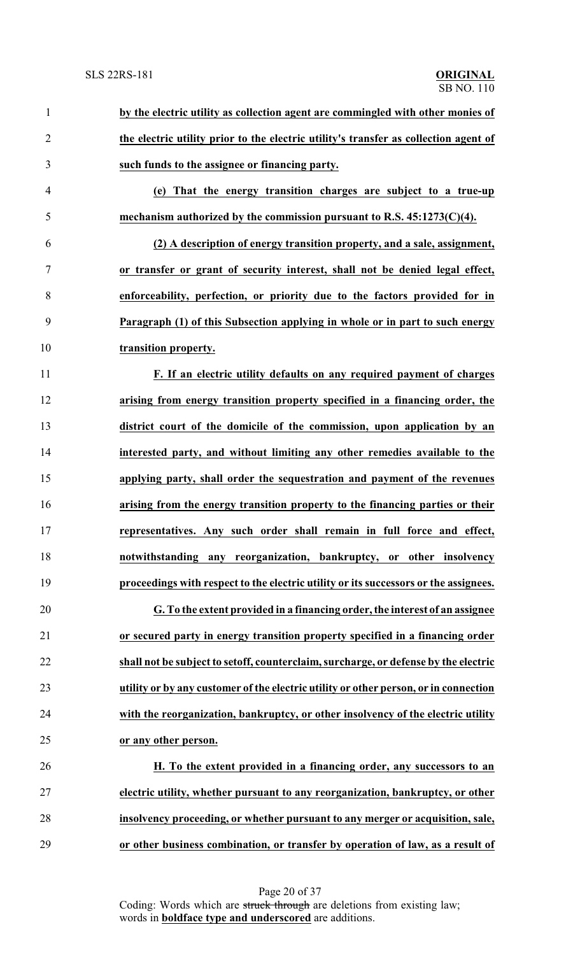| $\mathbf{1}$   | by the electric utility as collection agent are commingled with other monies of      |
|----------------|--------------------------------------------------------------------------------------|
| $\overline{2}$ | the electric utility prior to the electric utility's transfer as collection agent of |
| 3              | such funds to the assignee or financing party.                                       |
| $\overline{4}$ | (e) That the energy transition charges are subject to a true-up                      |
| 5              | mechanism authorized by the commission pursuant to R.S. $45:1273(C)(4)$ .            |
| 6              | (2) A description of energy transition property, and a sale, assignment,             |
| 7              | or transfer or grant of security interest, shall not be denied legal effect,         |
| 8              | enforceability, perfection, or priority due to the factors provided for in           |
| 9              | Paragraph (1) of this Subsection applying in whole or in part to such energy         |
| 10             | transition property.                                                                 |
| 11             | F. If an electric utility defaults on any required payment of charges                |
| 12             | arising from energy transition property specified in a financing order, the          |
| 13             | district court of the domicile of the commission, upon application by an             |
| 14             | interested party, and without limiting any other remedies available to the           |
| 15             | applying party, shall order the sequestration and payment of the revenues            |
| 16             | arising from the energy transition property to the financing parties or their        |
| 17             | representatives. Any such order shall remain in full force and effect,               |
| 18             | notwithstanding any reorganization, bankruptcy, or other insolvency                  |
| 19             | proceedings with respect to the electric utility or its successors or the assignees. |
| 20             | G. To the extent provided in a financing order, the interest of an assignee          |
| 21             | or secured party in energy transition property specified in a financing order        |
| 22             | shall not be subject to setoff, counterclaim, surcharge, or defense by the electric  |
| 23             | utility or by any customer of the electric utility or other person, or in connection |
| 24             | with the reorganization, bankruptcy, or other insolvency of the electric utility     |
| 25             | or any other person.                                                                 |
| 26             | H. To the extent provided in a financing order, any successors to an                 |
| 27             | electric utility, whether pursuant to any reorganization, bankruptcy, or other       |
| 28             | insolvency proceeding, or whether pursuant to any merger or acquisition, sale,       |
| 29             | or other business combination, or transfer by operation of law, as a result of       |

Page 20 of 37 Coding: Words which are struck through are deletions from existing law; words in **boldface type and underscored** are additions.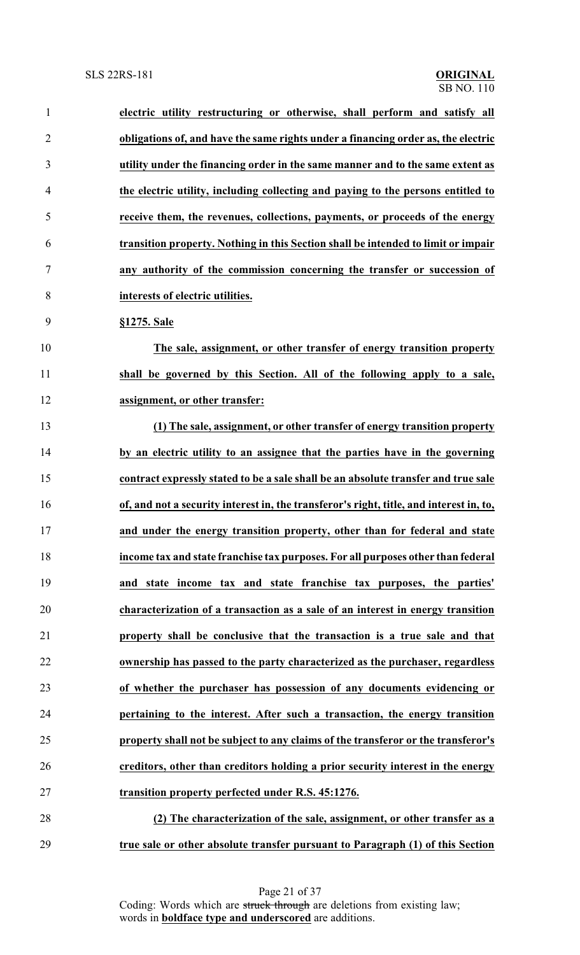| $\mathbf{1}$   | electric utility restructuring or otherwise, shall perform and satisfy all              |
|----------------|-----------------------------------------------------------------------------------------|
| $\overline{2}$ | obligations of, and have the same rights under a financing order as, the electric       |
| 3              | utility under the financing order in the same manner and to the same extent as          |
| 4              | the electric utility, including collecting and paying to the persons entitled to        |
| 5              | receive them, the revenues, collections, payments, or proceeds of the energy            |
| 6              | transition property. Nothing in this Section shall be intended to limit or impair       |
| 7              | any authority of the commission concerning the transfer or succession of                |
| 8              | interests of electric utilities.                                                        |
| 9              | §1275. Sale                                                                             |
| 10             | The sale, assignment, or other transfer of energy transition property                   |
| 11             | shall be governed by this Section. All of the following apply to a sale,                |
| 12             | assignment, or other transfer:                                                          |
| 13             | (1) The sale, assignment, or other transfer of energy transition property               |
| 14             | by an electric utility to an assignee that the parties have in the governing            |
| 15             | contract expressly stated to be a sale shall be an absolute transfer and true sale      |
| 16             | of, and not a security interest in, the transferor's right, title, and interest in, to, |
| 17             | and under the energy transition property, other than for federal and state              |
| 18             | income tax and state franchise tax purposes. For all purposes other than federal        |
| 19             | and state income tax and state franchise tax purposes, the parties'                     |
| 20             | characterization of a transaction as a sale of an interest in energy transition         |
| 21             | property shall be conclusive that the transaction is a true sale and that               |
| 22             | ownership has passed to the party characterized as the purchaser, regardless            |
| 23             | of whether the purchaser has possession of any documents evidencing or                  |
| 24             | pertaining to the interest. After such a transaction, the energy transition             |
| 25             | property shall not be subject to any claims of the transferor or the transferor's       |
| 26             | creditors, other than creditors holding a prior security interest in the energy         |
| 27             | transition property perfected under R.S. 45:1276.                                       |
| 28             | (2) The characterization of the sale, assignment, or other transfer as a                |
| 29             | true sale or other absolute transfer pursuant to Paragraph (1) of this Section          |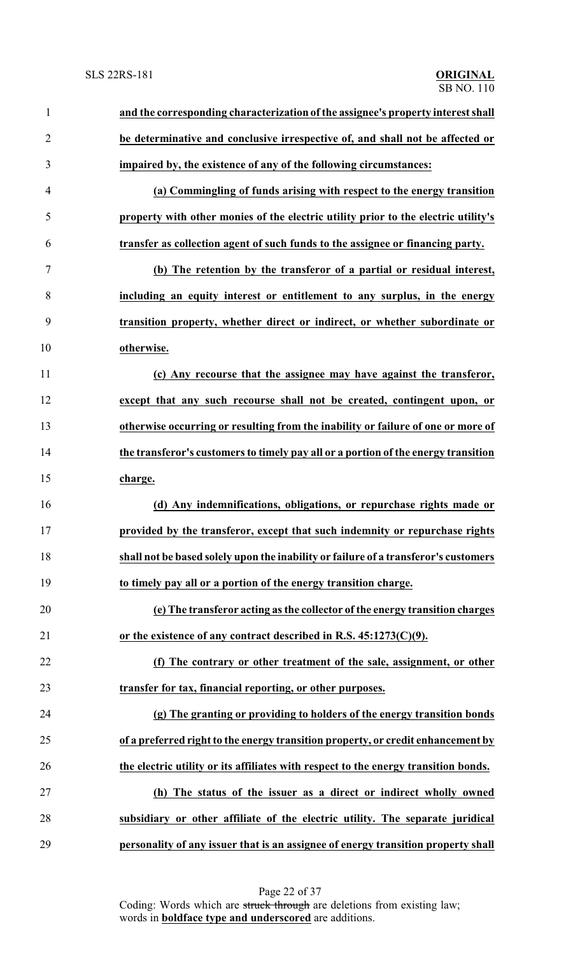| $\mathbf{1}$   | and the corresponding characterization of the assignee's property interest shall    |
|----------------|-------------------------------------------------------------------------------------|
| $\overline{2}$ | be determinative and conclusive irrespective of, and shall not be affected or       |
| 3              | impaired by, the existence of any of the following circumstances:                   |
| 4              | (a) Commingling of funds arising with respect to the energy transition              |
| 5              | property with other monies of the electric utility prior to the electric utility's  |
| 6              | transfer as collection agent of such funds to the assignee or financing party.      |
| 7              | (b) The retention by the transferor of a partial or residual interest,              |
| 8              | including an equity interest or entitlement to any surplus, in the energy           |
| 9              | transition property, whether direct or indirect, or whether subordinate or          |
| 10             | otherwise.                                                                          |
| 11             | (c) Any recourse that the assignee may have against the transferor,                 |
| 12             | except that any such recourse shall not be created, contingent upon, or             |
| 13             | otherwise occurring or resulting from the inability or failure of one or more of    |
| 14             | the transferor's customers to timely pay all or a portion of the energy transition  |
| 15             | charge.                                                                             |
| 16             | (d) Any indemnifications, obligations, or repurchase rights made or                 |
| 17             | provided by the transferor, except that such indemnity or repurchase rights         |
| 18             | shall not be based solely upon the inability or failure of a transferor's customers |
| 19             | to timely pay all or a portion of the energy transition charge.                     |
| 20             | (e) The transferor acting as the collector of the energy transition charges         |
| 21             | or the existence of any contract described in R.S. $45:1273(C)(9)$ .                |
| 22             | (f) The contrary or other treatment of the sale, assignment, or other               |
| 23             | transfer for tax, financial reporting, or other purposes.                           |
| 24             | (g) The granting or providing to holders of the energy transition bonds             |
| 25             | of a preferred right to the energy transition property, or credit enhancement by    |
| 26             | the electric utility or its affiliates with respect to the energy transition bonds. |
| 27             | (h) The status of the issuer as a direct or indirect wholly owned                   |
| 28             | subsidiary or other affiliate of the electric utility. The separate juridical       |
| 29             | personality of any issuer that is an assignee of energy transition property shall   |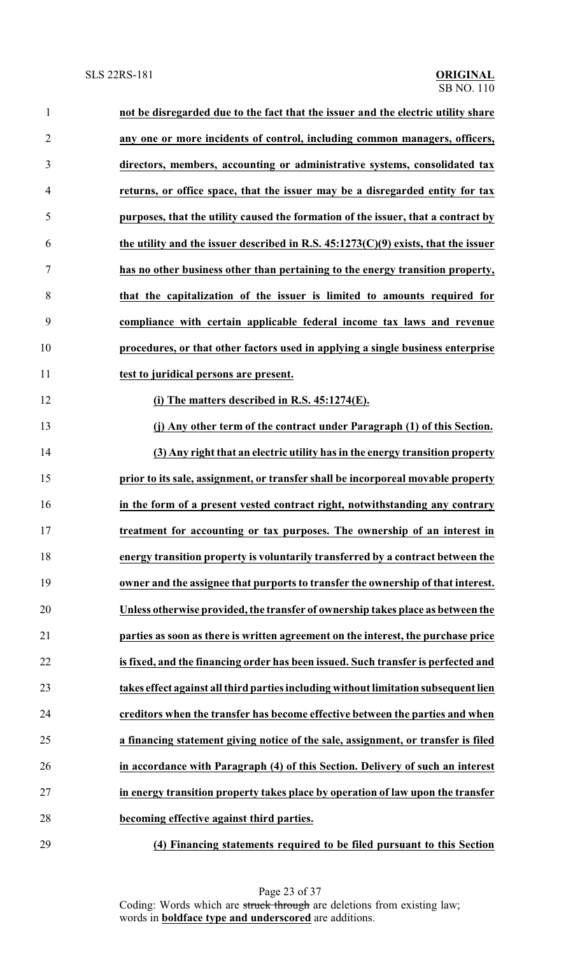| $\mathbf{1}$   | not be disregarded due to the fact that the issuer and the electric utility share    |
|----------------|--------------------------------------------------------------------------------------|
| $\overline{2}$ | any one or more incidents of control, including common managers, officers,           |
| 3              | directors, members, accounting or administrative systems, consolidated tax           |
| 4              | returns, or office space, that the issuer may be a disregarded entity for tax        |
| 5              | purposes, that the utility caused the formation of the issuer, that a contract by    |
| 6              | the utility and the issuer described in R.S. $45:1273(C)(9)$ exists, that the issuer |
| $\tau$         | has no other business other than pertaining to the energy transition property,       |
| 8              | that the capitalization of the issuer is limited to amounts required for             |
| 9              | compliance with certain applicable federal income tax laws and revenue               |
| 10             | procedures, or that other factors used in applying a single business enterprise      |
| 11             | test to juridical persons are present.                                               |
| 12             | (i) The matters described in R.S. $45:1274(E)$ .                                     |
| 13             | (j) Any other term of the contract under Paragraph (1) of this Section.              |
| 14             | (3) Any right that an electric utility has in the energy transition property         |
| 15             | prior to its sale, assignment, or transfer shall be incorporeal movable property     |
| 16             | in the form of a present vested contract right, notwithstanding any contrary         |
| 17             | treatment for accounting or tax purposes. The ownership of an interest in            |
| 18             | energy transition property is voluntarily transferred by a contract between the      |
| 19             | owner and the assignee that purports to transfer the ownership of that interest.     |
| 20             | Unless otherwise provided, the transfer of ownership takes place as between the      |
| 21             | parties as soon as there is written agreement on the interest, the purchase price    |
| 22             | is fixed, and the financing order has been issued. Such transfer is perfected and    |
| 23             | takes effect against all third parties including without limitation subsequent lien  |
| 24             | creditors when the transfer has become effective between the parties and when        |
| 25             | a financing statement giving notice of the sale, assignment, or transfer is filed    |
| 26             | in accordance with Paragraph (4) of this Section. Delivery of such an interest       |
| 27             | in energy transition property takes place by operation of law upon the transfer      |
| 28             | becoming effective against third parties.                                            |
|                |                                                                                      |

**(4) Financing statements required to be filed pursuant to this Section**

Page 23 of 37 Coding: Words which are struck through are deletions from existing law; words in **boldface type and underscored** are additions.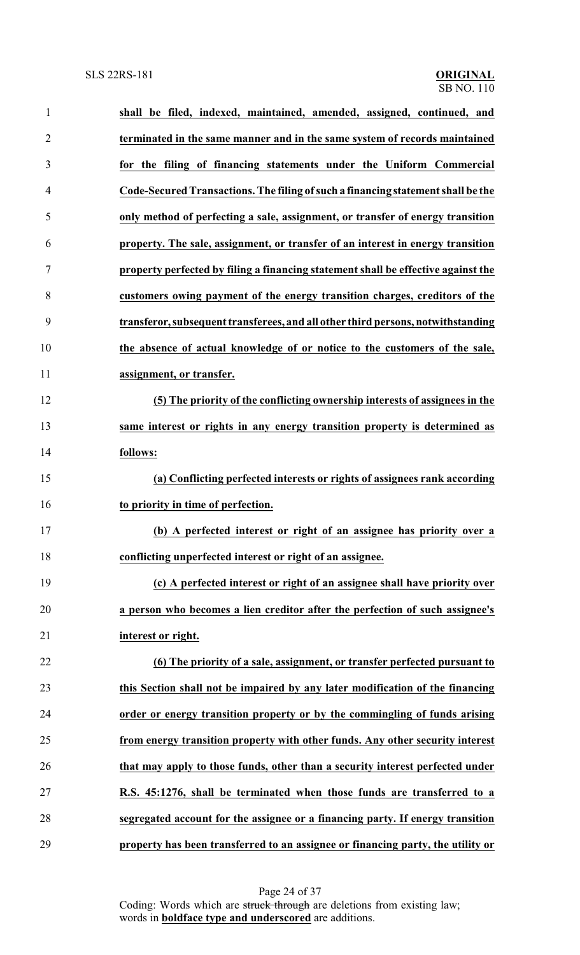| $\mathbf{1}$   | shall be filed, indexed, maintained, amended, assigned, continued, and            |
|----------------|-----------------------------------------------------------------------------------|
| $\overline{2}$ | terminated in the same manner and in the same system of records maintained        |
| 3              | for the filing of financing statements under the Uniform Commercial               |
| 4              | Code-Secured Transactions. The filing of such a financing statement shall be the  |
| 5              | only method of perfecting a sale, assignment, or transfer of energy transition    |
| 6              | property. The sale, assignment, or transfer of an interest in energy transition   |
| 7              | property perfected by filing a financing statement shall be effective against the |
| 8              | customers owing payment of the energy transition charges, creditors of the        |
| 9              | transferor, subsequent transferees, and all other third persons, notwithstanding  |
| 10             | the absence of actual knowledge of or notice to the customers of the sale,        |
| 11             | assignment, or transfer.                                                          |
| 12             | (5) The priority of the conflicting ownership interests of assignees in the       |
| 13             | same interest or rights in any energy transition property is determined as        |
| 14             | follows:                                                                          |
| 15             | (a) Conflicting perfected interests or rights of assignees rank according         |
| 16             | to priority in time of perfection.                                                |
| 17             | (b) A perfected interest or right of an assignee has priority over a              |
| 18             | conflicting unperfected interest or right of an assignee.                         |
| 19             | (c) A perfected interest or right of an assignee shall have priority over         |
| 20             | a person who becomes a lien creditor after the perfection of such assignee's      |
| 21             | interest or right.                                                                |
| 22             | (6) The priority of a sale, assignment, or transfer perfected pursuant to         |
| 23             | this Section shall not be impaired by any later modification of the financing     |
| 24             | order or energy transition property or by the commingling of funds arising        |
| 25             | from energy transition property with other funds. Any other security interest     |
| 26             | that may apply to those funds, other than a security interest perfected under     |
| 27             | R.S. 45:1276, shall be terminated when those funds are transferred to a           |
| 28             | segregated account for the assignee or a financing party. If energy transition    |
| 29             | property has been transferred to an assignee or financing party, the utility or   |

Page 24 of 37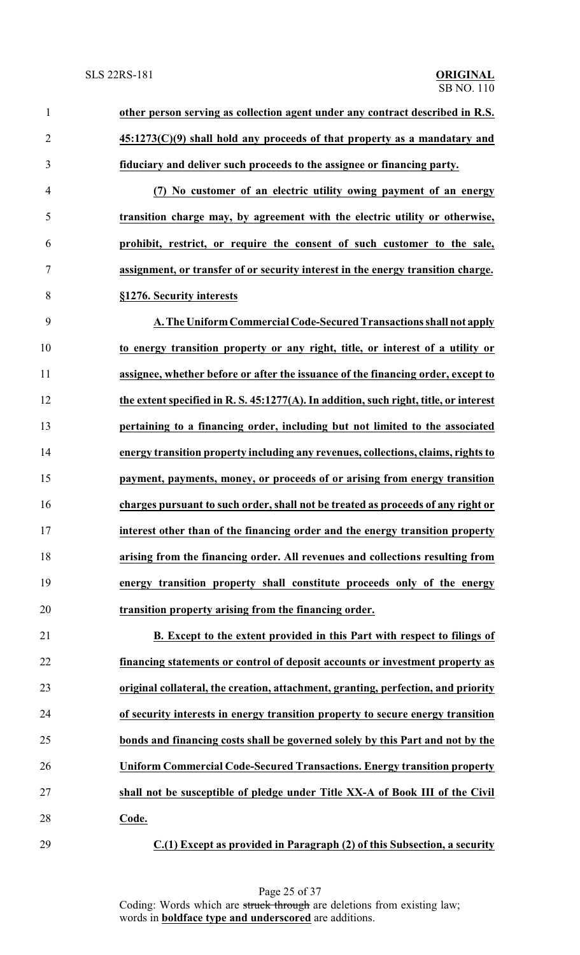| $\mathbf{1}$   | other person serving as collection agent under any contract described in R.S.         |
|----------------|---------------------------------------------------------------------------------------|
| $\overline{2}$ | $45:1273(C)(9)$ shall hold any proceeds of that property as a mandatary and           |
| 3              | fiduciary and deliver such proceeds to the assignee or financing party.               |
| $\overline{4}$ | (7) No customer of an electric utility owing payment of an energy                     |
| 5              | transition charge may, by agreement with the electric utility or otherwise,           |
| 6              | prohibit, restrict, or require the consent of such customer to the sale,              |
| $\tau$         | assignment, or transfer of or security interest in the energy transition charge.      |
| 8              | §1276. Security interests                                                             |
| 9              | A. The Uniform Commercial Code-Secured Transactions shall not apply                   |
| 10             | to energy transition property or any right, title, or interest of a utility or        |
| 11             | assignee, whether before or after the issuance of the financing order, except to      |
| 12             | the extent specified in R. S. 45:1277(A). In addition, such right, title, or interest |
| 13             | pertaining to a financing order, including but not limited to the associated          |
| 14             | energy transition property including any revenues, collections, claims, rights to     |
| 15             | payment, payments, money, or proceeds of or arising from energy transition            |
| 16             | charges pursuant to such order, shall not be treated as proceeds of any right or      |
| 17             | interest other than of the financing order and the energy transition property         |
| 18             | arising from the financing order. All revenues and collections resulting from         |
| 19             | energy transition property shall constitute proceeds only of the energy               |
| 20             | transition property arising from the financing order.                                 |
| 21             | B. Except to the extent provided in this Part with respect to filings of              |
| 22             | financing statements or control of deposit accounts or investment property as         |
| 23             | original collateral, the creation, attachment, granting, perfection, and priority     |
| 24             | of security interests in energy transition property to secure energy transition       |
| 25             | bonds and financing costs shall be governed solely by this Part and not by the        |
| 26             | <b>Uniform Commercial Code-Secured Transactions. Energy transition property</b>       |
| 27             | shall not be susceptible of pledge under Title XX-A of Book III of the Civil          |
| 28             | Code.                                                                                 |
| 29             | C.(1) Except as provided in Paragraph (2) of this Subsection, a security              |

Page 25 of 37 Coding: Words which are struck through are deletions from existing law; words in **boldface type and underscored** are additions.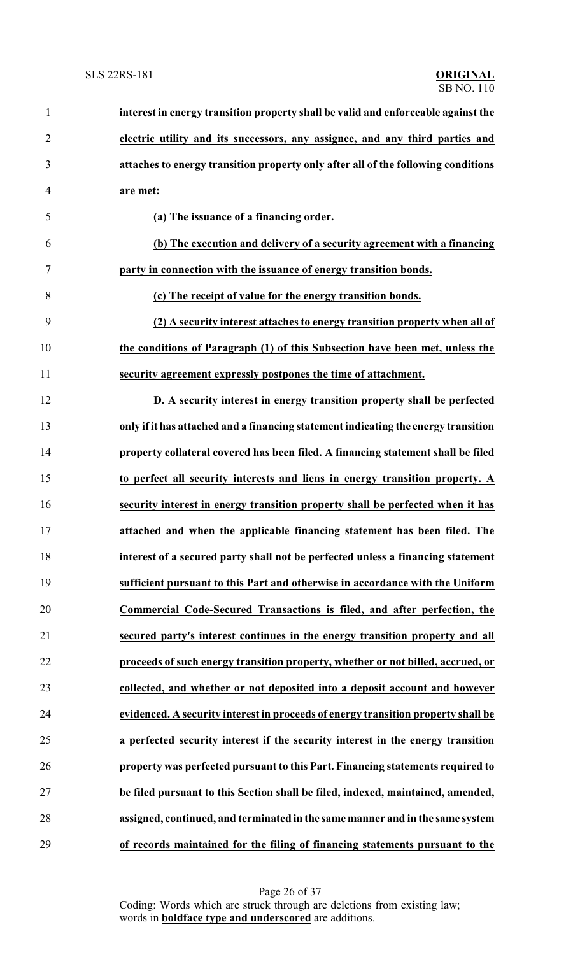| $\mathbf{1}$   | interest in energy transition property shall be valid and enforceable against the  |
|----------------|------------------------------------------------------------------------------------|
| $\overline{2}$ | electric utility and its successors, any assignee, and any third parties and       |
| 3              | attaches to energy transition property only after all of the following conditions  |
| 4              | are met:                                                                           |
| 5              | (a) The issuance of a financing order.                                             |
| 6              | (b) The execution and delivery of a security agreement with a financing            |
| 7              | party in connection with the issuance of energy transition bonds.                  |
| 8              | (c) The receipt of value for the energy transition bonds.                          |
| 9              | (2) A security interest attaches to energy transition property when all of         |
| 10             | the conditions of Paragraph (1) of this Subsection have been met, unless the       |
| 11             | security agreement expressly postpones the time of attachment.                     |
| 12             | D. A security interest in energy transition property shall be perfected            |
| 13             | only if it has attached and a financing statement indicating the energy transition |
| 14             | property collateral covered has been filed. A financing statement shall be filed   |
| 15             | to perfect all security interests and liens in energy transition property. A       |
| 16             | security interest in energy transition property shall be perfected when it has     |
| 17             | attached and when the applicable financing statement has been filed. The           |
| 18             | interest of a secured party shall not be perfected unless a financing statement    |
| 19             | sufficient pursuant to this Part and otherwise in accordance with the Uniform      |
| 20             | Commercial Code-Secured Transactions is filed, and after perfection, the           |
| 21             | secured party's interest continues in the energy transition property and all       |
| 22             | proceeds of such energy transition property, whether or not billed, accrued, or    |
| 23             | collected, and whether or not deposited into a deposit account and however         |
| 24             | evidenced. A security interest in proceeds of energy transition property shall be  |
| 25             | a perfected security interest if the security interest in the energy transition    |
| 26             | property was perfected pursuant to this Part. Financing statements required to     |
| 27             | be filed pursuant to this Section shall be filed, indexed, maintained, amended,    |
| 28             | assigned, continued, and terminated in the same manner and in the same system      |
| 29             | of records maintained for the filing of financing statements pursuant to the       |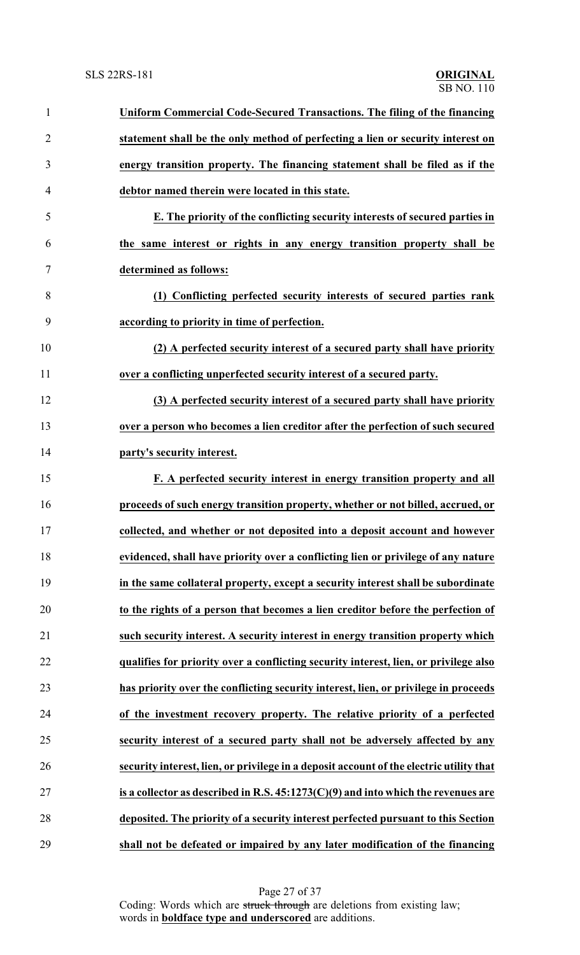| $\mathbf{1}$   | Uniform Commercial Code-Secured Transactions. The filing of the financing               |
|----------------|-----------------------------------------------------------------------------------------|
| $\overline{2}$ | statement shall be the only method of perfecting a lien or security interest on         |
| 3              | energy transition property. The financing statement shall be filed as if the            |
| $\overline{4}$ | debtor named therein were located in this state.                                        |
| 5              | E. The priority of the conflicting security interests of secured parties in             |
| 6              | the same interest or rights in any energy transition property shall be                  |
| 7              | determined as follows:                                                                  |
| 8              | (1) Conflicting perfected security interests of secured parties rank                    |
| 9              | according to priority in time of perfection.                                            |
| 10             | (2) A perfected security interest of a secured party shall have priority                |
| 11             | over a conflicting unperfected security interest of a secured party.                    |
| 12             | (3) A perfected security interest of a secured party shall have priority                |
| 13             | over a person who becomes a lien creditor after the perfection of such secured          |
| 14             | party's security interest.                                                              |
| 15             | F. A perfected security interest in energy transition property and all                  |
| 16             | proceeds of such energy transition property, whether or not billed, accrued, or         |
| 17             | collected, and whether or not deposited into a deposit account and however              |
| 18             | evidenced, shall have priority over a conflicting lien or privilege of any nature       |
| 19             | in the same collateral property, except a security interest shall be subordinate        |
| 20             | to the rights of a person that becomes a lien creditor before the perfection of         |
| 21             | such security interest. A security interest in energy transition property which         |
| 22             | qualifies for priority over a conflicting security interest, lien, or privilege also    |
| 23             | has priority over the conflicting security interest, lien, or privilege in proceeds     |
| 24             | of the investment recovery property. The relative priority of a perfected               |
| 25             | security interest of a secured party shall not be adversely affected by any             |
| 26             | security interest, lien, or privilege in a deposit account of the electric utility that |
| 27             | is a collector as described in R.S. $45:1273(C)(9)$ and into which the revenues are     |
| 28             | deposited. The priority of a security interest perfected pursuant to this Section       |
| 29             | shall not be defeated or impaired by any later modification of the financing            |

Page 27 of 37 Coding: Words which are struck through are deletions from existing law; words in **boldface type and underscored** are additions.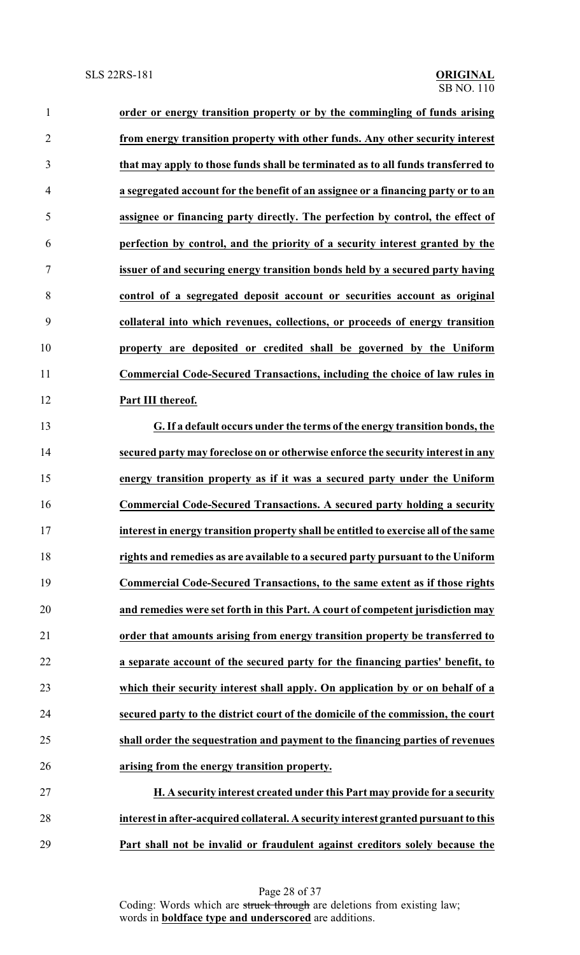| $\mathbf{1}$   | order or energy transition property or by the commingling of funds arising           |
|----------------|--------------------------------------------------------------------------------------|
| $\overline{2}$ | from energy transition property with other funds. Any other security interest        |
| 3              | that may apply to those funds shall be terminated as to all funds transferred to     |
| $\overline{4}$ | a segregated account for the benefit of an assignee or a financing party or to an    |
| 5              | assignee or financing party directly. The perfection by control, the effect of       |
| 6              | perfection by control, and the priority of a security interest granted by the        |
| $\tau$         | issuer of and securing energy transition bonds held by a secured party having        |
| 8              | control of a segregated deposit account or securities account as original            |
| 9              | collateral into which revenues, collections, or proceeds of energy transition        |
| 10             | property are deposited or credited shall be governed by the Uniform                  |
| 11             | Commercial Code-Secured Transactions, including the choice of law rules in           |
| 12             | Part III thereof.                                                                    |
| 13             | G. If a default occurs under the terms of the energy transition bonds, the           |
| 14             | secured party may foreclose on or otherwise enforce the security interest in any     |
| 15             | energy transition property as if it was a secured party under the Uniform            |
| 16             | Commercial Code-Secured Transactions. A secured party holding a security             |
| 17             | interest in energy transition property shall be entitled to exercise all of the same |
| 18             | rights and remedies as are available to a secured party pursuant to the Uniform      |
| 19             | Commercial Code-Secured Transactions, to the same extent as if those rights          |
| 20             | and remedies were set forth in this Part. A court of competent jurisdiction may      |
| 21             | order that amounts arising from energy transition property be transferred to         |
| 22             | a separate account of the secured party for the financing parties' benefit, to       |
| 23             | which their security interest shall apply. On application by or on behalf of a       |
| 24             | secured party to the district court of the domicile of the commission, the court     |
| 25             | shall order the sequestration and payment to the financing parties of revenues       |

 **H. A security interest created under this Part may provide for a security interest in after-acquired collateral. A security interest granted pursuant to this Part shall not be invalid or fraudulent against creditors solely because the**

**arising from the energy transition property.**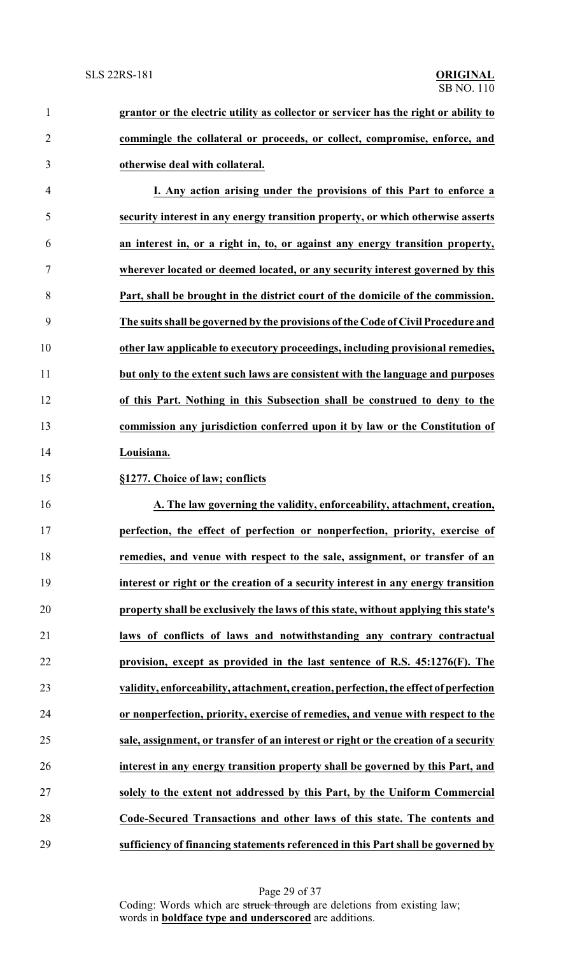**grantor or the electric utility as collector or servicer has the right or ability to commingle the collateral or proceeds, or collect, compromise, enforce, and otherwise deal with collateral. I. Any action arising under the provisions of this Part to enforce a**

 **security interest in any energy transition property, or which otherwise asserts an interest in, or a right in, to, or against any energy transition property, wherever located or deemed located, or any security interest governed by this Part, shall be brought in the district court of the domicile of the commission. The suits shall be governed by the provisions ofthe Code of Civil Procedure and other law applicable to executory proceedings, including provisional remedies, but only to the extent such laws are consistent with the language and purposes of this Part. Nothing in this Subsection shall be construed to deny to the commission any jurisdiction conferred upon it by law or the Constitution of Louisiana.**

### **§1277. Choice of law; conflicts**

 **A. The law governing the validity, enforceability, attachment, creation, perfection, the effect of perfection or nonperfection, priority, exercise of remedies, and venue with respect to the sale, assignment, or transfer of an interest or right or the creation of a security interest in any energy transition property shall be exclusively the laws of this state, without applying this state's laws of conflicts of laws and notwithstanding any contrary contractual provision, except as provided in the last sentence of R.S. 45:1276(F). The validity, enforceability, attachment, creation, perfection, the effect of perfection or nonperfection, priority, exercise of remedies, and venue with respect to the sale, assignment, or transfer of an interest or right or the creation of a security interest in any energy transition property shall be governed by this Part, and solely to the extent not addressed by this Part, by the Uniform Commercial Code-Secured Transactions and other laws of this state. The contents and sufficiency of financing statements referenced in this Part shall be governed by**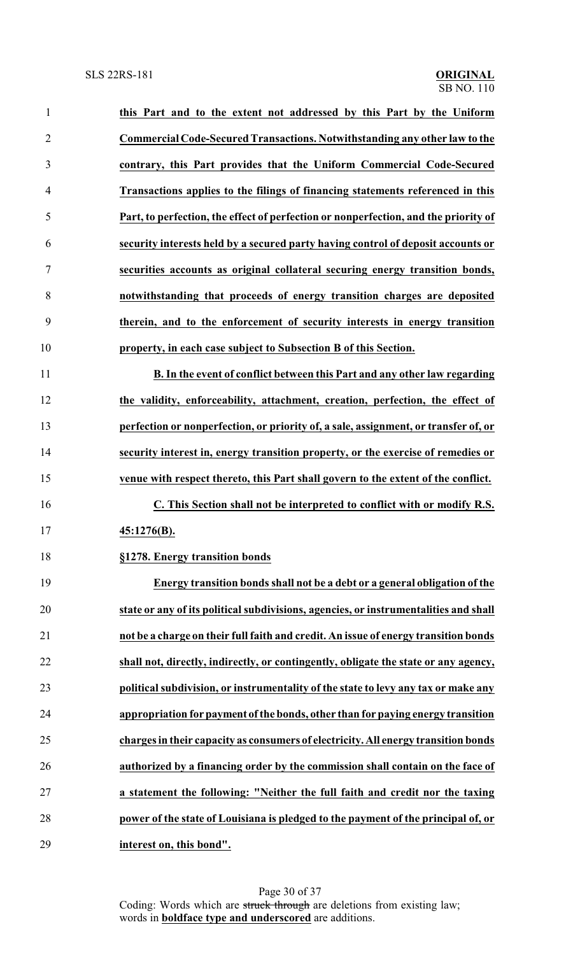| 1              | this Part and to the extent not addressed by this Part by the Uniform                |
|----------------|--------------------------------------------------------------------------------------|
| $\overline{2}$ | Commercial Code-Secured Transactions. Notwithstanding any other law to the           |
| 3              | contrary, this Part provides that the Uniform Commercial Code-Secured                |
| 4              | Transactions applies to the filings of financing statements referenced in this       |
| 5              | Part, to perfection, the effect of perfection or nonperfection, and the priority of  |
| 6              | security interests held by a secured party having control of deposit accounts or     |
| 7              | securities accounts as original collateral securing energy transition bonds,         |
| 8              | notwithstanding that proceeds of energy transition charges are deposited             |
| 9              | therein, and to the enforcement of security interests in energy transition           |
| 10             | property, in each case subject to Subsection B of this Section.                      |
| 11             | B. In the event of conflict between this Part and any other law regarding            |
| 12             | the validity, enforceability, attachment, creation, perfection, the effect of        |
| 13             | perfection or nonperfection, or priority of, a sale, assignment, or transfer of, or  |
| 14             | security interest in, energy transition property, or the exercise of remedies or     |
| 15             | venue with respect thereto, this Part shall govern to the extent of the conflict.    |
| 16             | C. This Section shall not be interpreted to conflict with or modify R.S.             |
| 17             | 45:1276(B).                                                                          |
| 18             | §1278. Energy transition bonds                                                       |
| 19             | Energy transition bonds shall not be a debt or a general obligation of the           |
| 20             | state or any of its political subdivisions, agencies, or instrumentalities and shall |
| 21             | not be a charge on their full faith and credit. An issue of energy transition bonds  |
| 22             | shall not, directly, indirectly, or contingently, obligate the state or any agency,  |
| 23             | political subdivision, or instrumentality of the state to levy any tax or make any   |
| 24             | appropriation for payment of the bonds, other than for paying energy transition      |
| 25             | charges in their capacity as consumers of electricity. All energy transition bonds   |
| 26             | authorized by a financing order by the commission shall contain on the face of       |
| 27             | a statement the following: "Neither the full faith and credit nor the taxing         |
| 28             | power of the state of Louisiana is pledged to the payment of the principal of, or    |
| 29             | interest on, this bond".                                                             |

Page 30 of 37 Coding: Words which are struck through are deletions from existing law; words in **boldface type and underscored** are additions.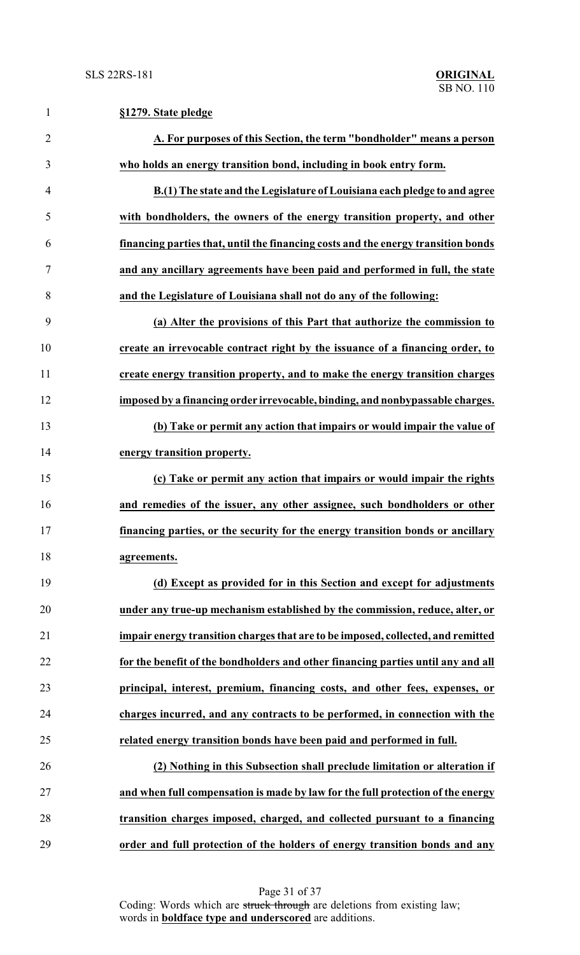| $\mathbf{1}$   | §1279. State pledge                                                               |
|----------------|-----------------------------------------------------------------------------------|
| $\overline{2}$ | A. For purposes of this Section, the term "bondholder" means a person             |
| 3              | who holds an energy transition bond, including in book entry form.                |
| 4              | B.(1) The state and the Legislature of Louisiana each pledge to and agree         |
| 5              | with bondholders, the owners of the energy transition property, and other         |
| 6              | financing parties that, until the financing costs and the energy transition bonds |
| 7              | and any ancillary agreements have been paid and performed in full, the state      |
| 8              | and the Legislature of Louisiana shall not do any of the following:               |
| 9              | (a) Alter the provisions of this Part that authorize the commission to            |
| 10             | create an irrevocable contract right by the issuance of a financing order, to     |
| 11             | create energy transition property, and to make the energy transition charges      |
| 12             | imposed by a financing order irrevocable, binding, and nonbypassable charges.     |
| 13             | (b) Take or permit any action that impairs or would impair the value of           |
| 14             | energy transition property.                                                       |
| 15             | (c) Take or permit any action that impairs or would impair the rights             |
| 16             | and remedies of the issuer, any other assignee, such bondholders or other         |
| 17             | financing parties, or the security for the energy transition bonds or ancillary   |
| 18             | agreements.                                                                       |
| 19             | (d) Except as provided for in this Section and except for adjustments             |
| 20             | under any true-up mechanism established by the commission, reduce, alter, or      |
| 21             | impair energy transition charges that are to be imposed, collected, and remitted  |
| 22             | for the benefit of the bondholders and other financing parties until any and all  |
| 23             | principal, interest, premium, financing costs, and other fees, expenses, or       |
| 24             | charges incurred, and any contracts to be performed, in connection with the       |
| 25             | related energy transition bonds have been paid and performed in full.             |
| 26             | (2) Nothing in this Subsection shall preclude limitation or alteration if         |
| 27             | and when full compensation is made by law for the full protection of the energy   |
| 28             | transition charges imposed, charged, and collected pursuant to a financing        |
| 29             | order and full protection of the holders of energy transition bonds and any       |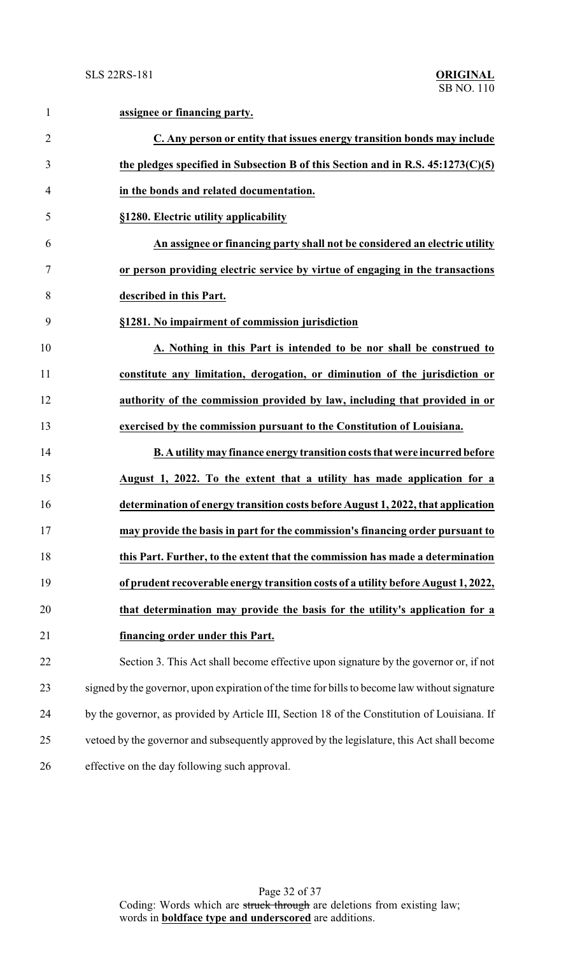| $\mathbf{1}$   | assignee or financing party.                                                                  |
|----------------|-----------------------------------------------------------------------------------------------|
| $\overline{2}$ | C. Any person or entity that issues energy transition bonds may include                       |
| 3              | the pledges specified in Subsection B of this Section and in R.S. $45:1273(C)(5)$             |
| $\overline{4}$ | in the bonds and related documentation.                                                       |
| 5              | §1280. Electric utility applicability                                                         |
| 6              | An assignee or financing party shall not be considered an electric utility                    |
| 7              | or person providing electric service by virtue of engaging in the transactions                |
| 8              | described in this Part.                                                                       |
| 9              | §1281. No impairment of commission jurisdiction                                               |
| 10             | A. Nothing in this Part is intended to be nor shall be construed to                           |
| 11             | constitute any limitation, derogation, or diminution of the jurisdiction or                   |
| 12             | authority of the commission provided by law, including that provided in or                    |
| 13             | exercised by the commission pursuant to the Constitution of Louisiana.                        |
| 14             | B. A utility may finance energy transition costs that were incurred before                    |
| 15             | August 1, 2022. To the extent that a utility has made application for a                       |
| 16             | determination of energy transition costs before August 1, 2022, that application              |
| 17             | may provide the basis in part for the commission's financing order pursuant to                |
| 18             | this Part. Further, to the extent that the commission has made a determination                |
| 19             | of prudent recoverable energy transition costs of a utility before August 1, 2022,            |
| 20             | that determination may provide the basis for the utility's application for a                  |
| 21             | financing order under this Part.                                                              |
| 22             | Section 3. This Act shall become effective upon signature by the governor or, if not          |
| 23             | signed by the governor, upon expiration of the time for bills to become law without signature |
| 24             | by the governor, as provided by Article III, Section 18 of the Constitution of Louisiana. If  |
| 25             | vetoed by the governor and subsequently approved by the legislature, this Act shall become    |
| 26             | effective on the day following such approval.                                                 |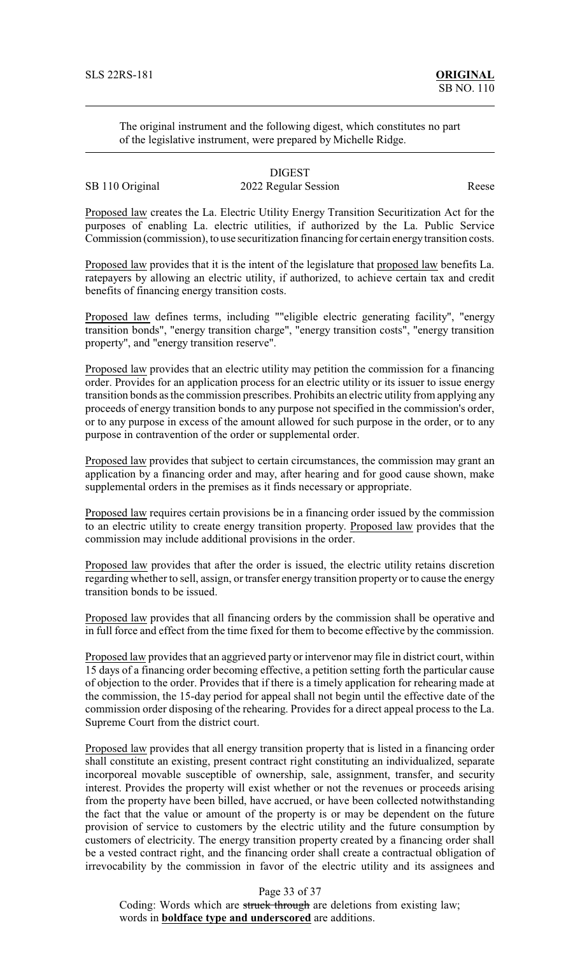The original instrument and the following digest, which constitutes no part of the legislative instrument, were prepared by Michelle Ridge.

## DIGEST SB 110 Original 2022 Regular Session Reese

Proposed law creates the La. Electric Utility Energy Transition Securitization Act for the purposes of enabling La. electric utilities, if authorized by the La. Public Service Commission (commission), to use securitization financing for certain energytransition costs.

Proposed law provides that it is the intent of the legislature that proposed law benefits La. ratepayers by allowing an electric utility, if authorized, to achieve certain tax and credit benefits of financing energy transition costs.

Proposed law defines terms, including ""eligible electric generating facility", "energy transition bonds", "energy transition charge", "energy transition costs", "energy transition property", and "energy transition reserve".

Proposed law provides that an electric utility may petition the commission for a financing order. Provides for an application process for an electric utility or its issuer to issue energy transition bonds as the commission prescribes. Prohibits an electric utility from applying any proceeds of energy transition bonds to any purpose not specified in the commission's order, or to any purpose in excess of the amount allowed for such purpose in the order, or to any purpose in contravention of the order or supplemental order.

Proposed law provides that subject to certain circumstances, the commission may grant an application by a financing order and may, after hearing and for good cause shown, make supplemental orders in the premises as it finds necessary or appropriate.

Proposed law requires certain provisions be in a financing order issued by the commission to an electric utility to create energy transition property. Proposed law provides that the commission may include additional provisions in the order.

Proposed law provides that after the order is issued, the electric utility retains discretion regarding whether to sell, assign, or transfer energy transition property or to cause the energy transition bonds to be issued.

Proposed law provides that all financing orders by the commission shall be operative and in full force and effect from the time fixed for them to become effective by the commission.

Proposed law provides that an aggrieved party or intervenor may file in district court, within 15 days of a financing order becoming effective, a petition setting forth the particular cause of objection to the order. Provides that if there is a timely application for rehearing made at the commission, the 15-day period for appeal shall not begin until the effective date of the commission order disposing of the rehearing. Provides for a direct appeal process to the La. Supreme Court from the district court.

Proposed law provides that all energy transition property that is listed in a financing order shall constitute an existing, present contract right constituting an individualized, separate incorporeal movable susceptible of ownership, sale, assignment, transfer, and security interest. Provides the property will exist whether or not the revenues or proceeds arising from the property have been billed, have accrued, or have been collected notwithstanding the fact that the value or amount of the property is or may be dependent on the future provision of service to customers by the electric utility and the future consumption by customers of electricity. The energy transition property created by a financing order shall be a vested contract right, and the financing order shall create a contractual obligation of irrevocability by the commission in favor of the electric utility and its assignees and

## Page 33 of 37

Coding: Words which are struck through are deletions from existing law; words in **boldface type and underscored** are additions.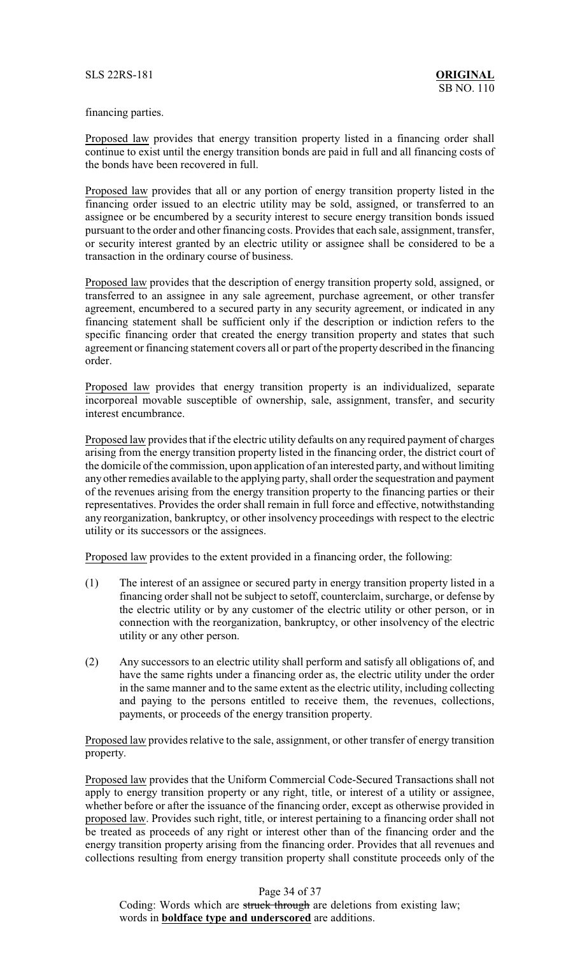### financing parties.

Proposed law provides that energy transition property listed in a financing order shall continue to exist until the energy transition bonds are paid in full and all financing costs of the bonds have been recovered in full.

Proposed law provides that all or any portion of energy transition property listed in the financing order issued to an electric utility may be sold, assigned, or transferred to an assignee or be encumbered by a security interest to secure energy transition bonds issued pursuant to the order and other financing costs. Provides that each sale, assignment, transfer, or security interest granted by an electric utility or assignee shall be considered to be a transaction in the ordinary course of business.

Proposed law provides that the description of energy transition property sold, assigned, or transferred to an assignee in any sale agreement, purchase agreement, or other transfer agreement, encumbered to a secured party in any security agreement, or indicated in any financing statement shall be sufficient only if the description or indiction refers to the specific financing order that created the energy transition property and states that such agreement or financing statement covers all or part of the property described in the financing order.

Proposed law provides that energy transition property is an individualized, separate incorporeal movable susceptible of ownership, sale, assignment, transfer, and security interest encumbrance.

Proposed law provides that if the electric utility defaults on any required payment of charges arising from the energy transition property listed in the financing order, the district court of the domicile of the commission, upon application of an interested party, and without limiting any other remedies available to the applying party, shall order the sequestration and payment of the revenues arising from the energy transition property to the financing parties or their representatives. Provides the order shall remain in full force and effective, notwithstanding any reorganization, bankruptcy, or other insolvency proceedings with respect to the electric utility or its successors or the assignees.

Proposed law provides to the extent provided in a financing order, the following:

- (1) The interest of an assignee or secured party in energy transition property listed in a financing order shall not be subject to setoff, counterclaim, surcharge, or defense by the electric utility or by any customer of the electric utility or other person, or in connection with the reorganization, bankruptcy, or other insolvency of the electric utility or any other person.
- (2) Any successors to an electric utility shall perform and satisfy all obligations of, and have the same rights under a financing order as, the electric utility under the order in the same manner and to the same extent as the electric utility, including collecting and paying to the persons entitled to receive them, the revenues, collections, payments, or proceeds of the energy transition property.

Proposed law provides relative to the sale, assignment, or other transfer of energy transition property.

Proposed law provides that the Uniform Commercial Code-Secured Transactions shall not apply to energy transition property or any right, title, or interest of a utility or assignee, whether before or after the issuance of the financing order, except as otherwise provided in proposed law. Provides such right, title, or interest pertaining to a financing order shall not be treated as proceeds of any right or interest other than of the financing order and the energy transition property arising from the financing order. Provides that all revenues and collections resulting from energy transition property shall constitute proceeds only of the

Page 34 of 37

Coding: Words which are struck through are deletions from existing law; words in **boldface type and underscored** are additions.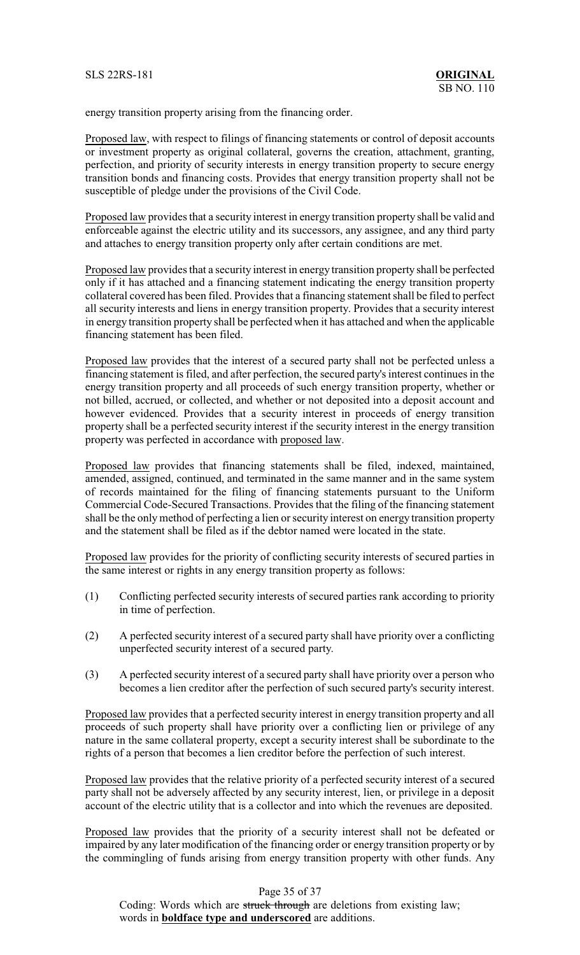energy transition property arising from the financing order.

Proposed law, with respect to filings of financing statements or control of deposit accounts or investment property as original collateral, governs the creation, attachment, granting, perfection, and priority of security interests in energy transition property to secure energy transition bonds and financing costs. Provides that energy transition property shall not be susceptible of pledge under the provisions of the Civil Code.

Proposed law provides that a security interest in energy transition property shall be valid and enforceable against the electric utility and its successors, any assignee, and any third party and attaches to energy transition property only after certain conditions are met.

Proposed law provides that a security interest in energy transition property shall be perfected only if it has attached and a financing statement indicating the energy transition property collateral covered has been filed. Provides that a financing statement shall be filed to perfect all security interests and liens in energy transition property. Provides that a security interest in energy transition property shall be perfected when it has attached and when the applicable financing statement has been filed.

Proposed law provides that the interest of a secured party shall not be perfected unless a financing statement is filed, and after perfection, the secured party's interest continues in the energy transition property and all proceeds of such energy transition property, whether or not billed, accrued, or collected, and whether or not deposited into a deposit account and however evidenced. Provides that a security interest in proceeds of energy transition property shall be a perfected security interest if the security interest in the energy transition property was perfected in accordance with proposed law.

Proposed law provides that financing statements shall be filed, indexed, maintained, amended, assigned, continued, and terminated in the same manner and in the same system of records maintained for the filing of financing statements pursuant to the Uniform Commercial Code-Secured Transactions. Provides that the filing of the financing statement shall be the onlymethod of perfecting a lien or security interest on energy transition property and the statement shall be filed as if the debtor named were located in the state.

Proposed law provides for the priority of conflicting security interests of secured parties in the same interest or rights in any energy transition property as follows:

- (1) Conflicting perfected security interests of secured parties rank according to priority in time of perfection.
- (2) A perfected security interest of a secured party shall have priority over a conflicting unperfected security interest of a secured party.
- (3) A perfected security interest of a secured party shall have priority over a person who becomes a lien creditor after the perfection of such secured party's security interest.

Proposed law provides that a perfected security interest in energy transition property and all proceeds of such property shall have priority over a conflicting lien or privilege of any nature in the same collateral property, except a security interest shall be subordinate to the rights of a person that becomes a lien creditor before the perfection of such interest.

Proposed law provides that the relative priority of a perfected security interest of a secured party shall not be adversely affected by any security interest, lien, or privilege in a deposit account of the electric utility that is a collector and into which the revenues are deposited.

Proposed law provides that the priority of a security interest shall not be defeated or impaired by any later modification of the financing order or energy transition property or by the commingling of funds arising from energy transition property with other funds. Any

Page 35 of 37

Coding: Words which are struck through are deletions from existing law; words in **boldface type and underscored** are additions.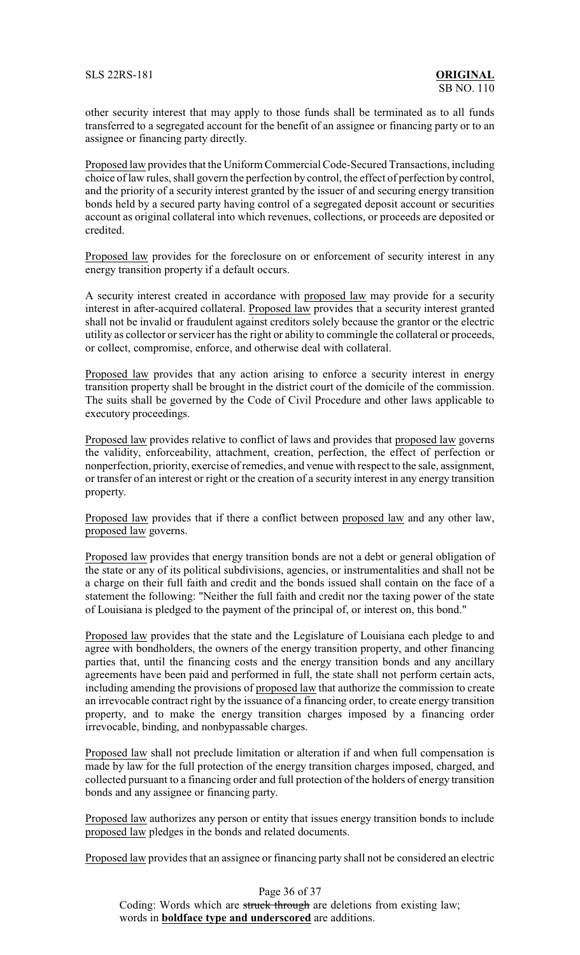other security interest that may apply to those funds shall be terminated as to all funds transferred to a segregated account for the benefit of an assignee or financing party or to an assignee or financing party directly.

Proposed law provides that the Uniform Commercial Code-Secured Transactions, including choice of law rules, shall govern the perfection by control, the effect of perfection by control, and the priority of a security interest granted by the issuer of and securing energy transition bonds held by a secured party having control of a segregated deposit account or securities account as original collateral into which revenues, collections, or proceeds are deposited or credited.

Proposed law provides for the foreclosure on or enforcement of security interest in any energy transition property if a default occurs.

A security interest created in accordance with proposed law may provide for a security interest in after-acquired collateral. Proposed law provides that a security interest granted shall not be invalid or fraudulent against creditors solely because the grantor or the electric utility as collector or servicer has the right or ability to commingle the collateral or proceeds, or collect, compromise, enforce, and otherwise deal with collateral.

Proposed law provides that any action arising to enforce a security interest in energy transition property shall be brought in the district court of the domicile of the commission. The suits shall be governed by the Code of Civil Procedure and other laws applicable to executory proceedings.

Proposed law provides relative to conflict of laws and provides that proposed law governs the validity, enforceability, attachment, creation, perfection, the effect of perfection or nonperfection, priority, exercise of remedies, and venue with respect to the sale, assignment, or transfer of an interest or right or the creation of a security interest in any energy transition property.

Proposed law provides that if there a conflict between proposed law and any other law, proposed law governs.

Proposed law provides that energy transition bonds are not a debt or general obligation of the state or any of its political subdivisions, agencies, or instrumentalities and shall not be a charge on their full faith and credit and the bonds issued shall contain on the face of a statement the following: "Neither the full faith and credit nor the taxing power of the state of Louisiana is pledged to the payment of the principal of, or interest on, this bond."

Proposed law provides that the state and the Legislature of Louisiana each pledge to and agree with bondholders, the owners of the energy transition property, and other financing parties that, until the financing costs and the energy transition bonds and any ancillary agreements have been paid and performed in full, the state shall not perform certain acts, including amending the provisions of proposed law that authorize the commission to create an irrevocable contract right by the issuance of a financing order, to create energy transition property, and to make the energy transition charges imposed by a financing order irrevocable, binding, and nonbypassable charges.

Proposed law shall not preclude limitation or alteration if and when full compensation is made by law for the full protection of the energy transition charges imposed, charged, and collected pursuant to a financing order and full protection of the holders of energy transition bonds and any assignee or financing party.

Proposed law authorizes any person or entity that issues energy transition bonds to include proposed law pledges in the bonds and related documents.

Proposed law provides that an assignee or financing party shall not be considered an electric

Page 36 of 37 Coding: Words which are struck through are deletions from existing law; words in **boldface type and underscored** are additions.